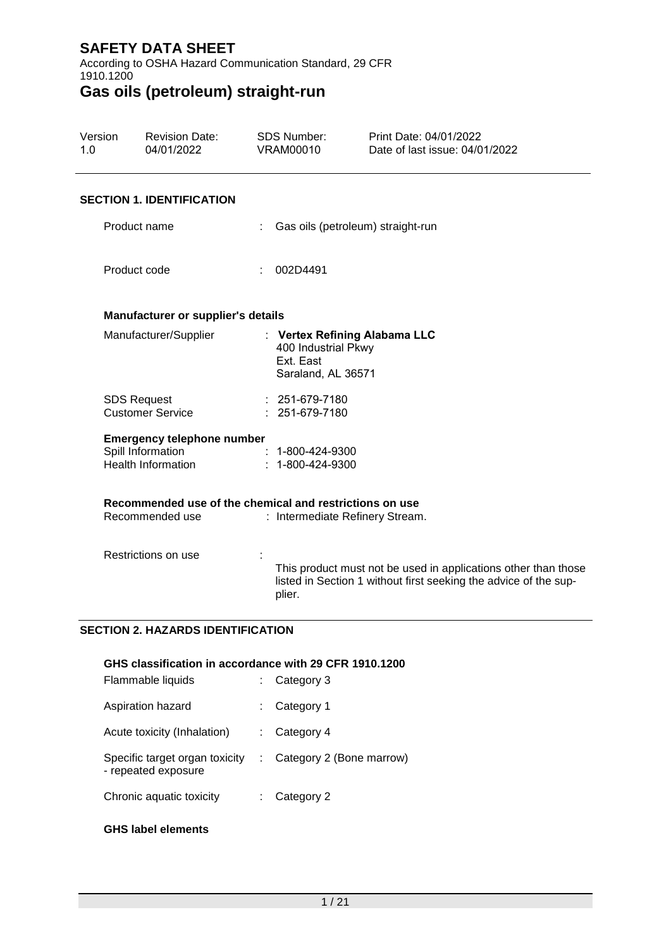According to OSHA Hazard Communication Standard, 29 CFR 1910.1200

# **Gas oils (petroleum) straight-run**

| Version<br>1.0 | <b>Revision Date:</b><br>04/01/2022                                          | <b>SDS Number:</b><br><b>VRAM00010</b>                 | Print Date: 04/01/2022<br>Date of last issue: 04/01/2022                                                                           |  |
|----------------|------------------------------------------------------------------------------|--------------------------------------------------------|------------------------------------------------------------------------------------------------------------------------------------|--|
|                | <b>SECTION 1. IDENTIFICATION</b>                                             |                                                        |                                                                                                                                    |  |
|                | Product name                                                                 |                                                        | : Gas oils (petroleum) straight-run                                                                                                |  |
|                | Product code                                                                 | 002D4491                                               |                                                                                                                                    |  |
|                | Manufacturer or supplier's details                                           |                                                        |                                                                                                                                    |  |
|                | Manufacturer/Supplier                                                        | 400 Industrial Pkwy<br>Ext. East<br>Saraland, AL 36571 | : Vertex Refining Alabama LLC                                                                                                      |  |
|                | <b>SDS Request</b><br><b>Customer Service</b>                                | $: 251-679-7180$<br>: 251-679-7180                     |                                                                                                                                    |  |
|                | <b>Emergency telephone number</b><br>Spill Information<br>Health Information | 1-800-424-9300<br>$: 1 - 800 - 424 - 9300$             |                                                                                                                                    |  |
|                | Recommended use of the chemical and restrictions on use<br>Recommended use   |                                                        | : Intermediate Refinery Stream.                                                                                                    |  |
|                | Restrictions on use                                                          | plier.                                                 | This product must not be used in applications other than those<br>listed in Section 1 without first seeking the advice of the sup- |  |

#### **SECTION 2. HAZARDS IDENTIFICATION**

#### **GHS classification in accordance with 29 CFR 1910.1200**

| Flammable liquids                                     | Category 3               |
|-------------------------------------------------------|--------------------------|
| Aspiration hazard                                     | Category 1               |
| Acute toxicity (Inhalation)                           | Category 4               |
| Specific target organ toxicity<br>- repeated exposure | Category 2 (Bone marrow) |
| Chronic aquatic toxicity                              | Category 2               |
|                                                       |                          |

#### **GHS label elements**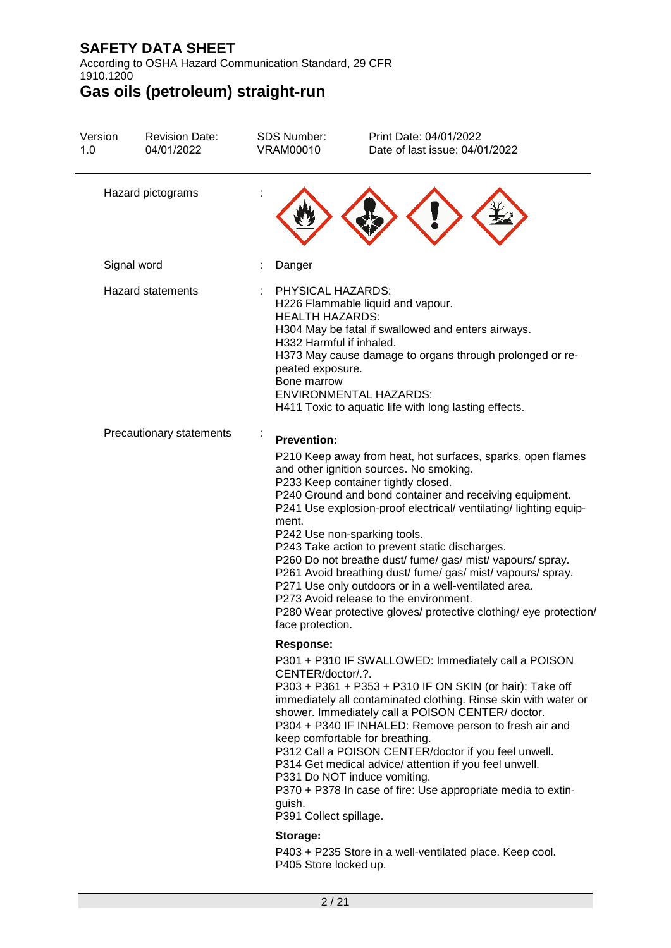According to OSHA Hazard Communication Standard, 29 CFR 1910.1200

| Version<br>1.0 | <b>Revision Date:</b><br>04/01/2022 | <b>SDS Number:</b><br><b>VRAM00010</b>                                                                     | Print Date: 04/01/2022<br>Date of last issue: 04/01/2022                                                                                                                                                                                                                                                                                                                                                                                                                                                                                                                                                                                                            |
|----------------|-------------------------------------|------------------------------------------------------------------------------------------------------------|---------------------------------------------------------------------------------------------------------------------------------------------------------------------------------------------------------------------------------------------------------------------------------------------------------------------------------------------------------------------------------------------------------------------------------------------------------------------------------------------------------------------------------------------------------------------------------------------------------------------------------------------------------------------|
|                | Hazard pictograms                   |                                                                                                            |                                                                                                                                                                                                                                                                                                                                                                                                                                                                                                                                                                                                                                                                     |
|                | Signal word                         | Danger                                                                                                     |                                                                                                                                                                                                                                                                                                                                                                                                                                                                                                                                                                                                                                                                     |
|                | <b>Hazard statements</b>            | PHYSICAL HAZARDS:<br><b>HEALTH HAZARDS:</b><br>H332 Harmful if inhaled.<br>peated exposure.<br>Bone marrow | H226 Flammable liquid and vapour.<br>H304 May be fatal if swallowed and enters airways.<br>H373 May cause damage to organs through prolonged or re-<br><b>ENVIRONMENTAL HAZARDS:</b><br>H411 Toxic to aquatic life with long lasting effects.                                                                                                                                                                                                                                                                                                                                                                                                                       |
|                | Precautionary statements            | <b>Prevention:</b><br>ment.                                                                                | P210 Keep away from heat, hot surfaces, sparks, open flames<br>and other ignition sources. No smoking.<br>P233 Keep container tightly closed.<br>P240 Ground and bond container and receiving equipment.<br>P241 Use explosion-proof electrical/ ventilating/ lighting equip-<br>P242 Use non-sparking tools.<br>P243 Take action to prevent static discharges.<br>P260 Do not breathe dust/ fume/ gas/ mist/ vapours/ spray.<br>P261 Avoid breathing dust/ fume/ gas/ mist/ vapours/ spray.<br>P271 Use only outdoors or in a well-ventilated area.<br>P273 Avoid release to the environment.<br>P280 Wear protective gloves/ protective clothing/ eye protection/ |
|                |                                     | face protection.<br><b>Response:</b><br>CENTER/doctor/.?.<br>guish.<br>P391 Collect spillage.<br>Storage:  | P301 + P310 IF SWALLOWED: Immediately call a POISON<br>P303 + P361 + P353 + P310 IF ON SKIN (or hair): Take off<br>immediately all contaminated clothing. Rinse skin with water or<br>shower. Immediately call a POISON CENTER/doctor.<br>P304 + P340 IF INHALED: Remove person to fresh air and<br>keep comfortable for breathing.<br>P312 Call a POISON CENTER/doctor if you feel unwell.<br>P314 Get medical advice/ attention if you feel unwell.<br>P331 Do NOT induce vomiting.<br>P370 + P378 In case of fire: Use appropriate media to extin-                                                                                                               |
|                |                                     | P405 Store locked up.                                                                                      | P403 + P235 Store in a well-ventilated place. Keep cool.                                                                                                                                                                                                                                                                                                                                                                                                                                                                                                                                                                                                            |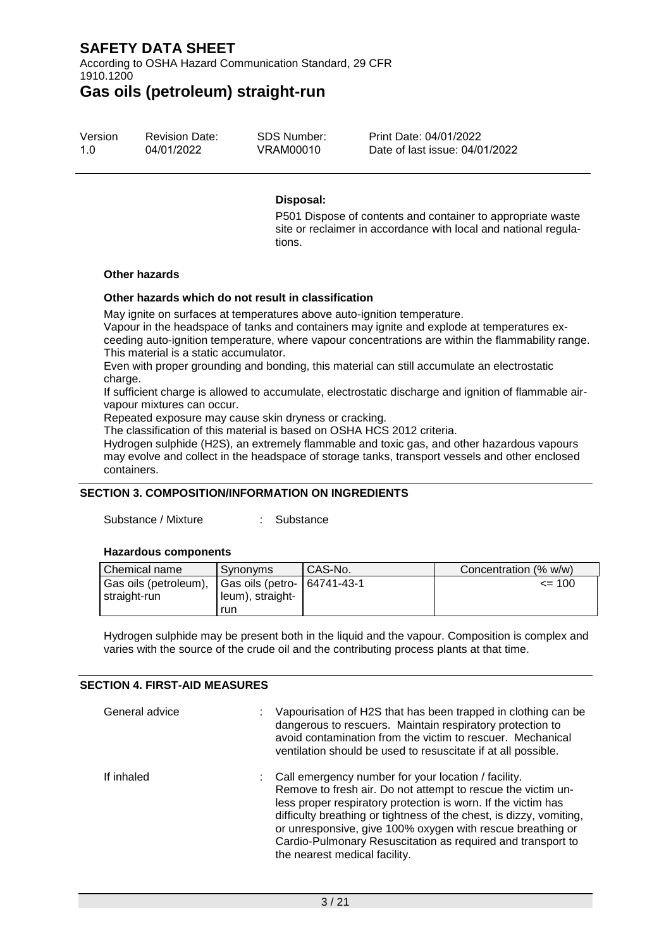According to OSHA Hazard Communication Standard, 29 CFR 1910.1200

### **Gas oils (petroleum) straight-run**

| Version | <b>Revision Date:</b> | SDS Number: | Print Date: 04/01/2022         |
|---------|-----------------------|-------------|--------------------------------|
| 1.O     | 04/01/2022            | VRAM00010   | Date of last issue: 04/01/2022 |

#### **Disposal:**

P501 Dispose of contents and container to appropriate waste site or reclaimer in accordance with local and national regulations.

#### **Other hazards**

#### **Other hazards which do not result in classification**

May ignite on surfaces at temperatures above auto-ignition temperature.

Vapour in the headspace of tanks and containers may ignite and explode at temperatures exceeding auto-ignition temperature, where vapour concentrations are within the flammability range. This material is a static accumulator.

Even with proper grounding and bonding, this material can still accumulate an electrostatic charge.

If sufficient charge is allowed to accumulate, electrostatic discharge and ignition of flammable airvapour mixtures can occur.

Repeated exposure may cause skin dryness or cracking.

The classification of this material is based on OSHA HCS 2012 criteria.

Hydrogen sulphide (H2S), an extremely flammable and toxic gas, and other hazardous vapours may evolve and collect in the headspace of storage tanks, transport vessels and other enclosed containers.

#### **SECTION 3. COMPOSITION/INFORMATION ON INGREDIENTS**

Substance / Mixture : Substance

#### **Hazardous components**

| Chemical name                                                           | Synonyms         | CAS-No. | Concentration (% w/w) |
|-------------------------------------------------------------------------|------------------|---------|-----------------------|
| Gas oils (petroleum),   Gas oils (petro-   64741-43-1<br>l straight-run | leum), straight- |         | $\leq$ 100            |
|                                                                         | run              |         |                       |

Hydrogen sulphide may be present both in the liquid and the vapour. Composition is complex and varies with the source of the crude oil and the contributing process plants at that time.

#### **SECTION 4. FIRST-AID MEASURES**

| General advice | Vapourisation of H2S that has been trapped in clothing can be<br>dangerous to rescuers. Maintain respiratory protection to<br>avoid contamination from the victim to rescuer. Mechanical<br>ventilation should be used to resuscitate if at all possible.                                                                                                                                                                   |
|----------------|-----------------------------------------------------------------------------------------------------------------------------------------------------------------------------------------------------------------------------------------------------------------------------------------------------------------------------------------------------------------------------------------------------------------------------|
| If inhaled     | : Call emergency number for your location / facility.<br>Remove to fresh air. Do not attempt to rescue the victim un-<br>less proper respiratory protection is worn. If the victim has<br>difficulty breathing or tightness of the chest, is dizzy, vomiting,<br>or unresponsive, give 100% oxygen with rescue breathing or<br>Cardio-Pulmonary Resuscitation as required and transport to<br>the nearest medical facility. |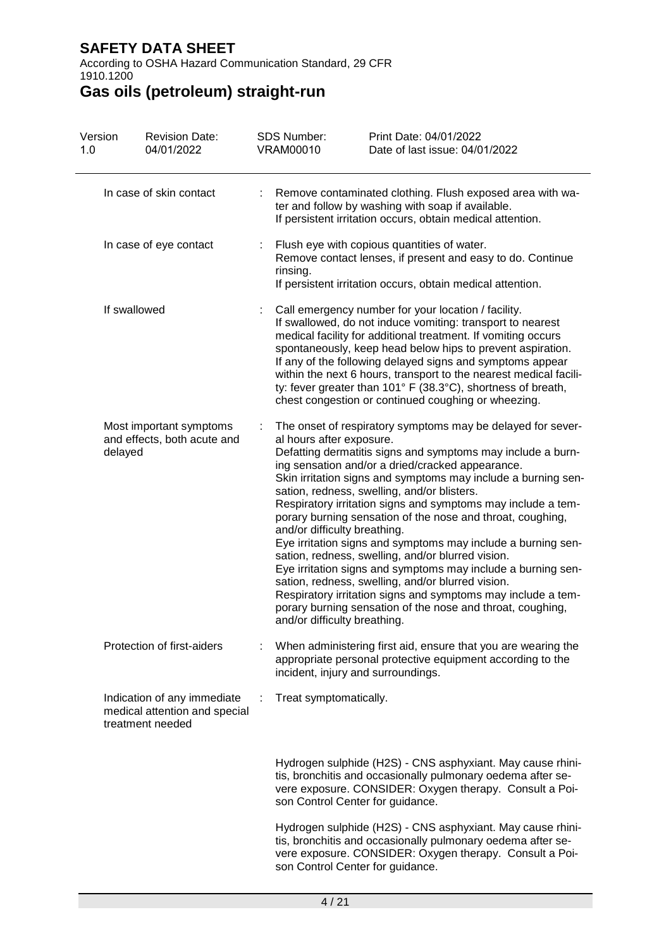According to OSHA Hazard Communication Standard, 29 CFR 1910.1200

| Version<br>1.0 |              | <b>Revision Date:</b><br>04/01/2022                                              |                                                                                                                                                                                                                                                                                                                                                                                                                                      | <b>SDS Number:</b><br><b>VRAM00010</b>                                                                                                                                              | Print Date: 04/01/2022<br>Date of last issue: 04/01/2022                                                                                                                                                                                                                                                                                                                                                                                                                                                                                                                                                                                                                                                                                                                                             |
|----------------|--------------|----------------------------------------------------------------------------------|--------------------------------------------------------------------------------------------------------------------------------------------------------------------------------------------------------------------------------------------------------------------------------------------------------------------------------------------------------------------------------------------------------------------------------------|-------------------------------------------------------------------------------------------------------------------------------------------------------------------------------------|------------------------------------------------------------------------------------------------------------------------------------------------------------------------------------------------------------------------------------------------------------------------------------------------------------------------------------------------------------------------------------------------------------------------------------------------------------------------------------------------------------------------------------------------------------------------------------------------------------------------------------------------------------------------------------------------------------------------------------------------------------------------------------------------------|
|                |              | In case of skin contact                                                          |                                                                                                                                                                                                                                                                                                                                                                                                                                      |                                                                                                                                                                                     | Remove contaminated clothing. Flush exposed area with wa-<br>ter and follow by washing with soap if available.<br>If persistent irritation occurs, obtain medical attention.                                                                                                                                                                                                                                                                                                                                                                                                                                                                                                                                                                                                                         |
|                |              | In case of eye contact                                                           |                                                                                                                                                                                                                                                                                                                                                                                                                                      | Flush eye with copious quantities of water.<br>Remove contact lenses, if present and easy to do. Continue<br>rinsing.<br>If persistent irritation occurs, obtain medical attention. |                                                                                                                                                                                                                                                                                                                                                                                                                                                                                                                                                                                                                                                                                                                                                                                                      |
|                | If swallowed |                                                                                  | Call emergency number for your location / facility.<br>If swallowed, do not induce vomiting: transport to nearest<br>medical facility for additional treatment. If vomiting occurs<br>spontaneously, keep head below hips to prevent aspiration.<br>If any of the following delayed signs and symptoms appear<br>ty: fever greater than 101° F (38.3°C), shortness of breath,<br>chest congestion or continued coughing or wheezing. |                                                                                                                                                                                     | within the next 6 hours, transport to the nearest medical facili-                                                                                                                                                                                                                                                                                                                                                                                                                                                                                                                                                                                                                                                                                                                                    |
|                | delayed      | Most important symptoms<br>and effects, both acute and                           |                                                                                                                                                                                                                                                                                                                                                                                                                                      | al hours after exposure.<br>and/or difficulty breathing.<br>and/or difficulty breathing.                                                                                            | The onset of respiratory symptoms may be delayed for sever-<br>Defatting dermatitis signs and symptoms may include a burn-<br>ing sensation and/or a dried/cracked appearance.<br>Skin irritation signs and symptoms may include a burning sen-<br>sation, redness, swelling, and/or blisters.<br>Respiratory irritation signs and symptoms may include a tem-<br>porary burning sensation of the nose and throat, coughing,<br>Eye irritation signs and symptoms may include a burning sen-<br>sation, redness, swelling, and/or blurred vision.<br>Eye irritation signs and symptoms may include a burning sen-<br>sation, redness, swelling, and/or blurred vision.<br>Respiratory irritation signs and symptoms may include a tem-<br>porary burning sensation of the nose and throat, coughing, |
|                |              | Protection of first-aiders                                                       |                                                                                                                                                                                                                                                                                                                                                                                                                                      | incident, injury and surroundings.                                                                                                                                                  | When administering first aid, ensure that you are wearing the<br>appropriate personal protective equipment according to the                                                                                                                                                                                                                                                                                                                                                                                                                                                                                                                                                                                                                                                                          |
|                |              | Indication of any immediate<br>medical attention and special<br>treatment needed |                                                                                                                                                                                                                                                                                                                                                                                                                                      | Treat symptomatically.                                                                                                                                                              |                                                                                                                                                                                                                                                                                                                                                                                                                                                                                                                                                                                                                                                                                                                                                                                                      |
|                |              |                                                                                  |                                                                                                                                                                                                                                                                                                                                                                                                                                      | son Control Center for guidance.                                                                                                                                                    | Hydrogen sulphide (H2S) - CNS asphyxiant. May cause rhini-<br>tis, bronchitis and occasionally pulmonary oedema after se-<br>vere exposure. CONSIDER: Oxygen therapy. Consult a Poi-                                                                                                                                                                                                                                                                                                                                                                                                                                                                                                                                                                                                                 |
|                |              |                                                                                  |                                                                                                                                                                                                                                                                                                                                                                                                                                      | son Control Center for guidance.                                                                                                                                                    | Hydrogen sulphide (H2S) - CNS asphyxiant. May cause rhini-<br>tis, bronchitis and occasionally pulmonary oedema after se-<br>vere exposure. CONSIDER: Oxygen therapy. Consult a Poi-                                                                                                                                                                                                                                                                                                                                                                                                                                                                                                                                                                                                                 |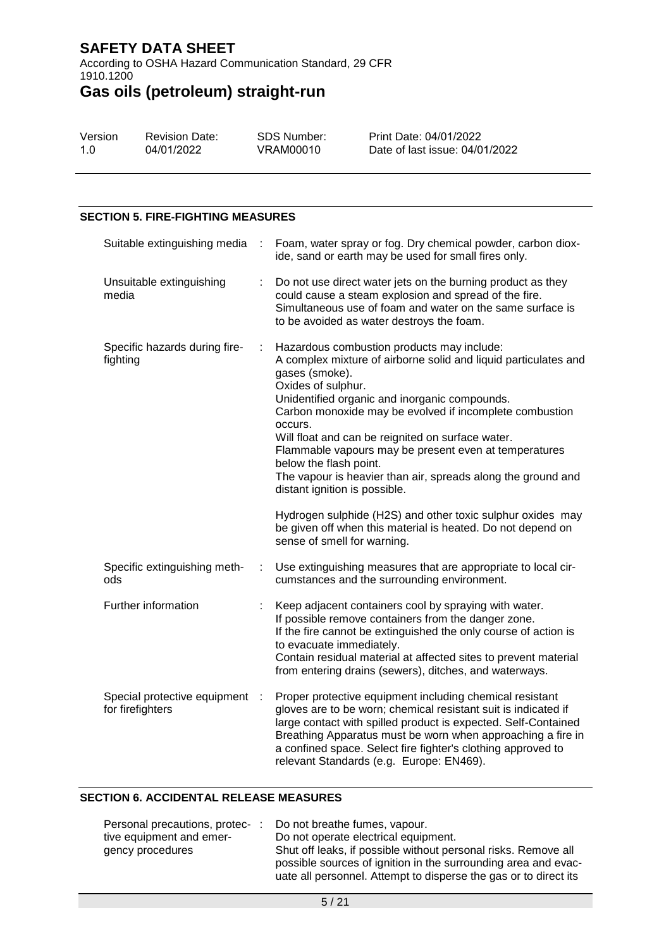According to OSHA Hazard Communication Standard, 29 CFR 1910.1200

# **Gas oils (petroleum) straight-run**

| Version | <b>Revision Date:</b> | SDS Number: | Print Date: 04/01/2022         |
|---------|-----------------------|-------------|--------------------------------|
| 1.O     | 04/01/2022            | VRAM00010   | Date of last issue: 04/01/2022 |

#### **SECTION 5. FIRE-FIGHTING MEASURES**

| Suitable extinguishing media<br>$\cdot$ :        |     | Foam, water spray or fog. Dry chemical powder, carbon diox-<br>ide, sand or earth may be used for small fires only.                                                                                                                                                                                                                                                                                                                                                                                                                                                                                                                                                               |
|--------------------------------------------------|-----|-----------------------------------------------------------------------------------------------------------------------------------------------------------------------------------------------------------------------------------------------------------------------------------------------------------------------------------------------------------------------------------------------------------------------------------------------------------------------------------------------------------------------------------------------------------------------------------------------------------------------------------------------------------------------------------|
| Unsuitable extinguishing<br>media                |     | Do not use direct water jets on the burning product as they<br>could cause a steam explosion and spread of the fire.<br>Simultaneous use of foam and water on the same surface is<br>to be avoided as water destroys the foam.                                                                                                                                                                                                                                                                                                                                                                                                                                                    |
| Specific hazards during fire-<br>fighting        | ÷   | Hazardous combustion products may include:<br>A complex mixture of airborne solid and liquid particulates and<br>gases (smoke).<br>Oxides of sulphur.<br>Unidentified organic and inorganic compounds.<br>Carbon monoxide may be evolved if incomplete combustion<br>occurs.<br>Will float and can be reignited on surface water.<br>Flammable vapours may be present even at temperatures<br>below the flash point.<br>The vapour is heavier than air, spreads along the ground and<br>distant ignition is possible.<br>Hydrogen sulphide (H2S) and other toxic sulphur oxides may<br>be given off when this material is heated. Do not depend on<br>sense of smell for warning. |
| Specific extinguishing meth-<br>ods              | ÷   | Use extinguishing measures that are appropriate to local cir-<br>cumstances and the surrounding environment.                                                                                                                                                                                                                                                                                                                                                                                                                                                                                                                                                                      |
| Further information                              |     | Keep adjacent containers cool by spraying with water.<br>If possible remove containers from the danger zone.<br>If the fire cannot be extinguished the only course of action is<br>to evacuate immediately.<br>Contain residual material at affected sites to prevent material<br>from entering drains (sewers), ditches, and waterways.                                                                                                                                                                                                                                                                                                                                          |
| Special protective equipment<br>for firefighters | - 1 | Proper protective equipment including chemical resistant<br>gloves are to be worn; chemical resistant suit is indicated if<br>large contact with spilled product is expected. Self-Contained<br>Breathing Apparatus must be worn when approaching a fire in<br>a confined space. Select fire fighter's clothing approved to<br>relevant Standards (e.g. Europe: EN469).                                                                                                                                                                                                                                                                                                           |

#### **SECTION 6. ACCIDENTAL RELEASE MEASURES**

| Personal precautions, protec- |  | Do not breathe fumes, vapour.                                                                                                    |
|-------------------------------|--|----------------------------------------------------------------------------------------------------------------------------------|
| tive equipment and emer-      |  | Do not operate electrical equipment.                                                                                             |
| gency procedures              |  | Shut off leaks, if possible without personal risks. Remove all<br>possible sources of ignition in the surrounding area and evac- |
|                               |  | uate all personnel. Attempt to disperse the gas or to direct its                                                                 |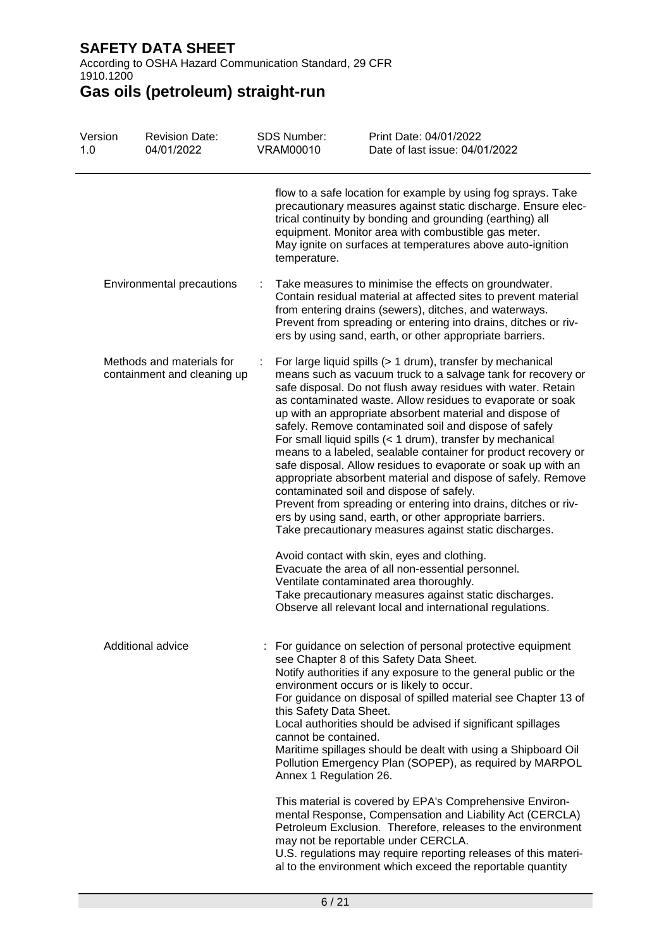According to OSHA Hazard Communication Standard, 29 CFR 1910.1200

| Version<br>1.0            | <b>Revision Date:</b><br>04/01/2022                      | <b>SDS Number:</b><br><b>VRAM00010</b> | Print Date: 04/01/2022<br>Date of last issue: 04/01/2022                                                                                                                                                                                                                                                                                                                                                                                                                                                                                                                                                                                                                                                                                                                                                                                                                                                                                                                                                                                                                                                                                                   |  |
|---------------------------|----------------------------------------------------------|----------------------------------------|------------------------------------------------------------------------------------------------------------------------------------------------------------------------------------------------------------------------------------------------------------------------------------------------------------------------------------------------------------------------------------------------------------------------------------------------------------------------------------------------------------------------------------------------------------------------------------------------------------------------------------------------------------------------------------------------------------------------------------------------------------------------------------------------------------------------------------------------------------------------------------------------------------------------------------------------------------------------------------------------------------------------------------------------------------------------------------------------------------------------------------------------------------|--|
|                           |                                                          | temperature.                           | flow to a safe location for example by using fog sprays. Take<br>precautionary measures against static discharge. Ensure elec-<br>trical continuity by bonding and grounding (earthing) all<br>equipment. Monitor area with combustible gas meter.<br>May ignite on surfaces at temperatures above auto-ignition                                                                                                                                                                                                                                                                                                                                                                                                                                                                                                                                                                                                                                                                                                                                                                                                                                           |  |
| Environmental precautions |                                                          |                                        | Take measures to minimise the effects on groundwater.<br>Contain residual material at affected sites to prevent material<br>from entering drains (sewers), ditches, and waterways.<br>Prevent from spreading or entering into drains, ditches or riv-<br>ers by using sand, earth, or other appropriate barriers.                                                                                                                                                                                                                                                                                                                                                                                                                                                                                                                                                                                                                                                                                                                                                                                                                                          |  |
|                           | Methods and materials for<br>containment and cleaning up |                                        | For large liquid spills (> 1 drum), transfer by mechanical<br>means such as vacuum truck to a salvage tank for recovery or<br>safe disposal. Do not flush away residues with water. Retain<br>as contaminated waste. Allow residues to evaporate or soak<br>up with an appropriate absorbent material and dispose of<br>safely. Remove contaminated soil and dispose of safely<br>For small liquid spills (< 1 drum), transfer by mechanical<br>means to a labeled, sealable container for product recovery or<br>safe disposal. Allow residues to evaporate or soak up with an<br>appropriate absorbent material and dispose of safely. Remove<br>contaminated soil and dispose of safely.<br>Prevent from spreading or entering into drains, ditches or riv-<br>ers by using sand, earth, or other appropriate barriers.<br>Take precautionary measures against static discharges.<br>Avoid contact with skin, eyes and clothing.<br>Evacuate the area of all non-essential personnel.<br>Ventilate contaminated area thoroughly.<br>Take precautionary measures against static discharges.<br>Observe all relevant local and international regulations. |  |
|                           | Additional advice                                        | cannot be contained.                   | For guidance on selection of personal protective equipment<br>see Chapter 8 of this Safety Data Sheet.<br>Notify authorities if any exposure to the general public or the<br>environment occurs or is likely to occur.<br>For guidance on disposal of spilled material see Chapter 13 of<br>this Safety Data Sheet.<br>Local authorities should be advised if significant spillages<br>Maritime spillages should be dealt with using a Shipboard Oil<br>Pollution Emergency Plan (SOPEP), as required by MARPOL<br>Annex 1 Regulation 26.<br>This material is covered by EPA's Comprehensive Environ-<br>mental Response, Compensation and Liability Act (CERCLA)<br>Petroleum Exclusion. Therefore, releases to the environment<br>may not be reportable under CERCLA.<br>U.S. regulations may require reporting releases of this materi-<br>al to the environment which exceed the reportable quantity                                                                                                                                                                                                                                                   |  |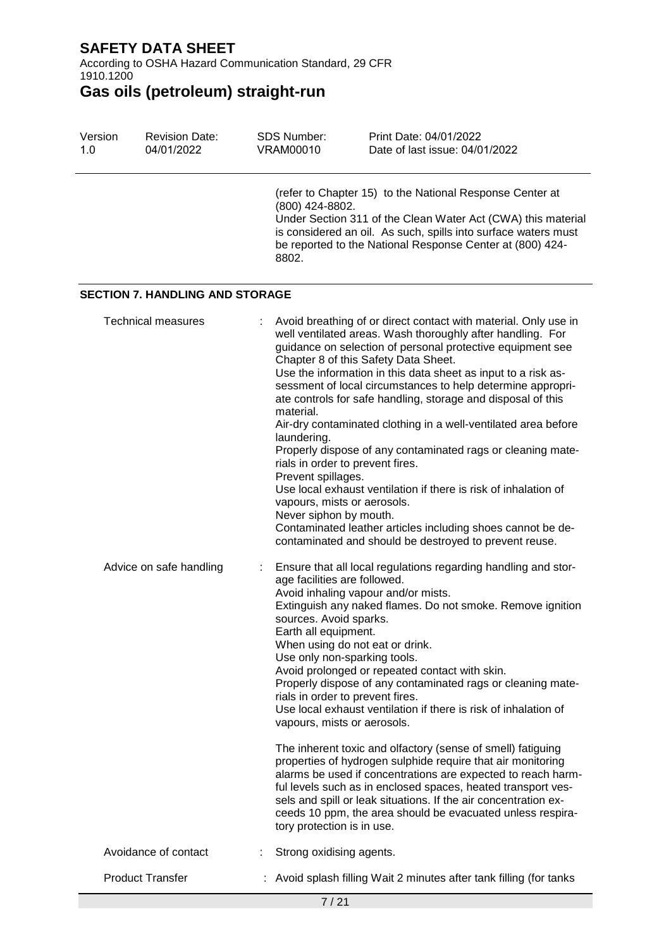Version

According to OSHA Hazard Communication Standard, 29 CFR 1910.1200

SDS Number:

Print Date: 04/01/2022

**Gas oils (petroleum) straight-run**

Revision Date:

| 1.0                     | 04/01/2022                             | <b>VRAM00010</b>                                                                                              | Date of last issue: 04/01/2022                                                                                                                                                                                                                                                                                                                                                                                                                                                                                                                                                                                                                                                                                                                                                                       |
|-------------------------|----------------------------------------|---------------------------------------------------------------------------------------------------------------|------------------------------------------------------------------------------------------------------------------------------------------------------------------------------------------------------------------------------------------------------------------------------------------------------------------------------------------------------------------------------------------------------------------------------------------------------------------------------------------------------------------------------------------------------------------------------------------------------------------------------------------------------------------------------------------------------------------------------------------------------------------------------------------------------|
|                         |                                        | (800) 424-8802.<br>8802.                                                                                      | (refer to Chapter 15) to the National Response Center at<br>Under Section 311 of the Clean Water Act (CWA) this material<br>is considered an oil. As such, spills into surface waters must<br>be reported to the National Response Center at (800) 424-                                                                                                                                                                                                                                                                                                                                                                                                                                                                                                                                              |
|                         | <b>SECTION 7. HANDLING AND STORAGE</b> |                                                                                                               |                                                                                                                                                                                                                                                                                                                                                                                                                                                                                                                                                                                                                                                                                                                                                                                                      |
|                         | <b>Technical measures</b>              | material.<br>laundering.<br>Prevent spillages.<br>vapours, mists or aerosols.<br>Never siphon by mouth.       | Avoid breathing of or direct contact with material. Only use in<br>well ventilated areas. Wash thoroughly after handling. For<br>guidance on selection of personal protective equipment see<br>Chapter 8 of this Safety Data Sheet.<br>Use the information in this data sheet as input to a risk as-<br>sessment of local circumstances to help determine appropri-<br>ate controls for safe handling, storage and disposal of this<br>Air-dry contaminated clothing in a well-ventilated area before<br>Properly dispose of any contaminated rags or cleaning mate-<br>rials in order to prevent fires.<br>Use local exhaust ventilation if there is risk of inhalation of<br>Contaminated leather articles including shoes cannot be de-<br>contaminated and should be destroyed to prevent reuse. |
| Advice on safe handling |                                        | age facilities are followed.<br>sources. Avoid sparks.<br>Earth all equipment.<br>vapours, mists or aerosols. | Ensure that all local regulations regarding handling and stor-<br>Avoid inhaling vapour and/or mists.<br>Extinguish any naked flames. Do not smoke. Remove ignition<br>When using do not eat or drink.<br>Use only non-sparking tools.<br>Avoid prolonged or repeated contact with skin.<br>Properly dispose of any contaminated rags or cleaning mate-<br>rials in order to prevent fires.<br>Use local exhaust ventilation if there is risk of inhalation of<br>The inherent toxic and olfactory (sense of smell) fatiguing<br>properties of hydrogen sulphide require that air monitoring<br>alarms be used if concentrations are expected to reach harm-<br>ful levels such as in enclosed spaces, heated transport ves-<br>sels and spill or leak situations. If the air concentration ex-      |
|                         | Avoidance of contact                   | tory protection is in use.<br>Strong oxidising agents.                                                        | ceeds 10 ppm, the area should be evacuated unless respira-                                                                                                                                                                                                                                                                                                                                                                                                                                                                                                                                                                                                                                                                                                                                           |
|                         | <b>Product Transfer</b>                |                                                                                                               | Avoid splash filling Wait 2 minutes after tank filling (for tanks                                                                                                                                                                                                                                                                                                                                                                                                                                                                                                                                                                                                                                                                                                                                    |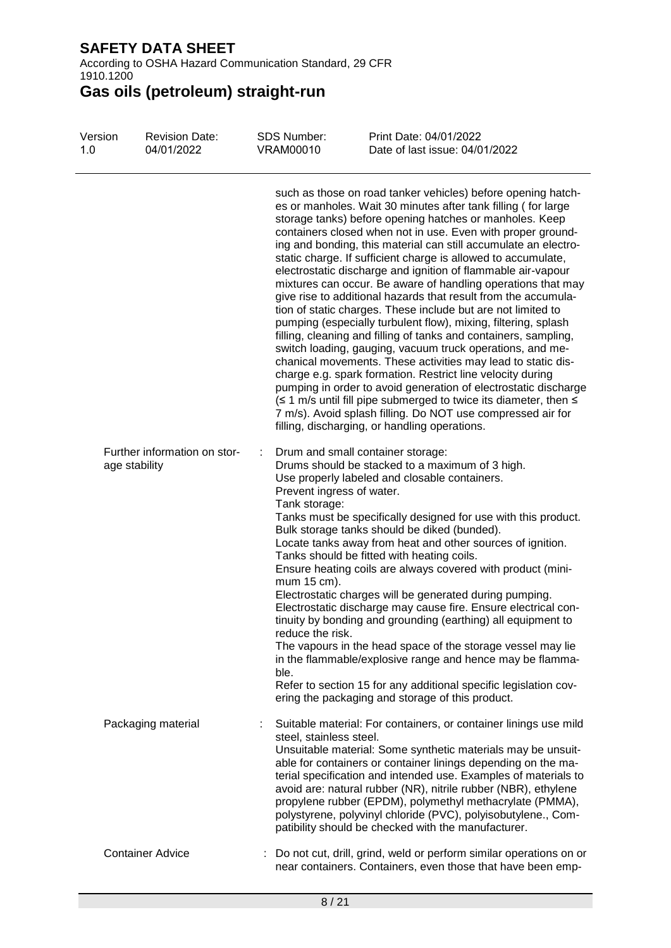According to OSHA Hazard Communication Standard, 29 CFR 1910.1200

| Version<br>1.0 | <b>Revision Date:</b><br>04/01/2022           | <b>SDS Number:</b><br><b>VRAM00010</b>                                                     | Print Date: 04/01/2022<br>Date of last issue: 04/01/2022                                                                                                                                                                                                                                                                                                                                                                                                                                                                                                                                                                                                                                                                                                                                                                                                                                                                                                                                                                                                                                                                                                                                                                                              |
|----------------|-----------------------------------------------|--------------------------------------------------------------------------------------------|-------------------------------------------------------------------------------------------------------------------------------------------------------------------------------------------------------------------------------------------------------------------------------------------------------------------------------------------------------------------------------------------------------------------------------------------------------------------------------------------------------------------------------------------------------------------------------------------------------------------------------------------------------------------------------------------------------------------------------------------------------------------------------------------------------------------------------------------------------------------------------------------------------------------------------------------------------------------------------------------------------------------------------------------------------------------------------------------------------------------------------------------------------------------------------------------------------------------------------------------------------|
|                |                                               |                                                                                            | such as those on road tanker vehicles) before opening hatch-<br>es or manholes. Wait 30 minutes after tank filling (for large<br>storage tanks) before opening hatches or manholes. Keep<br>containers closed when not in use. Even with proper ground-<br>ing and bonding, this material can still accumulate an electro-<br>static charge. If sufficient charge is allowed to accumulate,<br>electrostatic discharge and ignition of flammable air-vapour<br>mixtures can occur. Be aware of handling operations that may<br>give rise to additional hazards that result from the accumula-<br>tion of static charges. These include but are not limited to<br>pumping (especially turbulent flow), mixing, filtering, splash<br>filling, cleaning and filling of tanks and containers, sampling,<br>switch loading, gauging, vacuum truck operations, and me-<br>chanical movements. These activities may lead to static dis-<br>charge e.g. spark formation. Restrict line velocity during<br>pumping in order to avoid generation of electrostatic discharge<br>(≤ 1 m/s until fill pipe submerged to twice its diameter, then ≤<br>7 m/s). Avoid splash filling. Do NOT use compressed air for<br>filling, discharging, or handling operations. |
|                | Further information on stor-<br>age stability | ÷<br>Prevent ingress of water.<br>Tank storage:<br>mum 15 cm).<br>reduce the risk.<br>ble. | Drum and small container storage:<br>Drums should be stacked to a maximum of 3 high.<br>Use properly labeled and closable containers.<br>Tanks must be specifically designed for use with this product.<br>Bulk storage tanks should be diked (bunded).<br>Locate tanks away from heat and other sources of ignition.<br>Tanks should be fitted with heating coils.<br>Ensure heating coils are always covered with product (mini-<br>Electrostatic charges will be generated during pumping.<br>Electrostatic discharge may cause fire. Ensure electrical con-<br>tinuity by bonding and grounding (earthing) all equipment to<br>The vapours in the head space of the storage vessel may lie<br>in the flammable/explosive range and hence may be flamma-<br>Refer to section 15 for any additional specific legislation cov-<br>ering the packaging and storage of this product.                                                                                                                                                                                                                                                                                                                                                                   |
|                | Packaging material                            | steel, stainless steel.                                                                    | Suitable material: For containers, or container linings use mild<br>Unsuitable material: Some synthetic materials may be unsuit-<br>able for containers or container linings depending on the ma-<br>terial specification and intended use. Examples of materials to<br>avoid are: natural rubber (NR), nitrile rubber (NBR), ethylene<br>propylene rubber (EPDM), polymethyl methacrylate (PMMA),<br>polystyrene, polyvinyl chloride (PVC), polyisobutylene., Com-<br>patibility should be checked with the manufacturer.                                                                                                                                                                                                                                                                                                                                                                                                                                                                                                                                                                                                                                                                                                                            |
|                | <b>Container Advice</b>                       |                                                                                            | Do not cut, drill, grind, weld or perform similar operations on or<br>near containers. Containers, even those that have been emp-                                                                                                                                                                                                                                                                                                                                                                                                                                                                                                                                                                                                                                                                                                                                                                                                                                                                                                                                                                                                                                                                                                                     |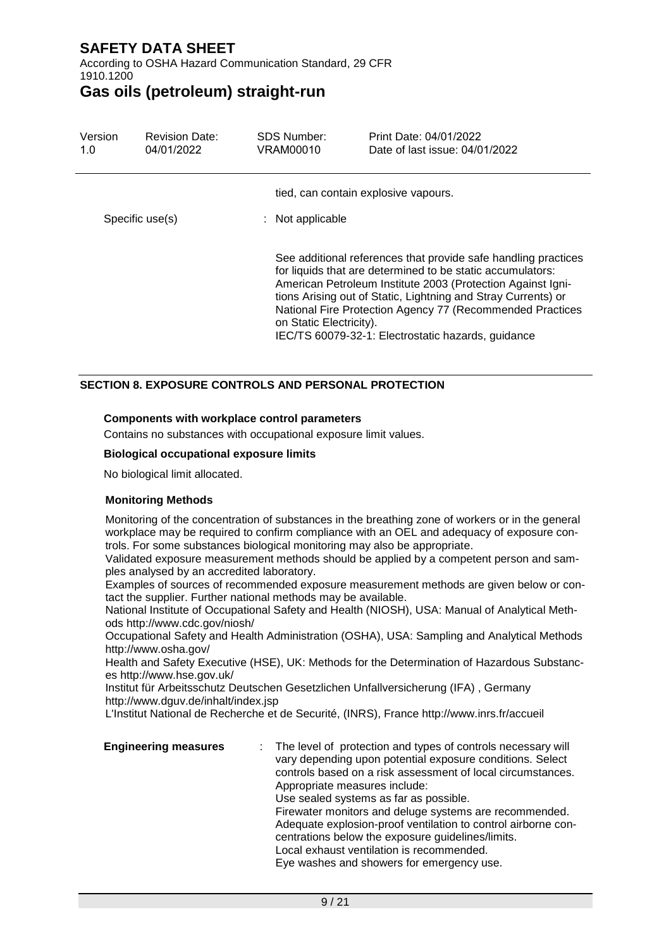According to OSHA Hazard Communication Standard, 29 CFR 1910.1200

### **Gas oils (petroleum) straight-run**

| Version<br>1.0  | <b>Revision Date:</b><br>04/01/2022 | <b>SDS Number:</b><br>VRAM00010                          | Print Date: 04/01/2022<br>Date of last issue: 04/01/2022                                                                                                                                                                                                                                                                                                                        |  |
|-----------------|-------------------------------------|----------------------------------------------------------|---------------------------------------------------------------------------------------------------------------------------------------------------------------------------------------------------------------------------------------------------------------------------------------------------------------------------------------------------------------------------------|--|
| Specific use(s) |                                     | tied, can contain explosive vapours.<br>: Not applicable |                                                                                                                                                                                                                                                                                                                                                                                 |  |
|                 |                                     | on Static Electricity).                                  | See additional references that provide safe handling practices<br>for liquids that are determined to be static accumulators:<br>American Petroleum Institute 2003 (Protection Against Igni-<br>tions Arising out of Static, Lightning and Stray Currents) or<br>National Fire Protection Agency 77 (Recommended Practices<br>IEC/TS 60079-32-1: Electrostatic hazards, guidance |  |

#### **SECTION 8. EXPOSURE CONTROLS AND PERSONAL PROTECTION**

#### **Components with workplace control parameters**

Contains no substances with occupational exposure limit values.

#### **Biological occupational exposure limits**

No biological limit allocated.

#### **Monitoring Methods**

Monitoring of the concentration of substances in the breathing zone of workers or in the general workplace may be required to confirm compliance with an OEL and adequacy of exposure controls. For some substances biological monitoring may also be appropriate.

Validated exposure measurement methods should be applied by a competent person and samples analysed by an accredited laboratory.

Examples of sources of recommended exposure measurement methods are given below or contact the supplier. Further national methods may be available.

National Institute of Occupational Safety and Health (NIOSH), USA: Manual of Analytical Methods http://www.cdc.gov/niosh/

Occupational Safety and Health Administration (OSHA), USA: Sampling and Analytical Methods http://www.osha.gov/

Health and Safety Executive (HSE), UK: Methods for the Determination of Hazardous Substances http://www.hse.gov.uk/

Institut für Arbeitsschutz Deutschen Gesetzlichen Unfallversicherung (IFA) , Germany http://www.dguv.de/inhalt/index.jsp

L'Institut National de Recherche et de Securité, (INRS), France http://www.inrs.fr/accueil

**Engineering measures** : The level of protection and types of controls necessary will vary depending upon potential exposure conditions. Select controls based on a risk assessment of local circumstances. Appropriate measures include: Use sealed systems as far as possible. Firewater monitors and deluge systems are recommended. Adequate explosion-proof ventilation to control airborne concentrations below the exposure guidelines/limits. Local exhaust ventilation is recommended. Eye washes and showers for emergency use.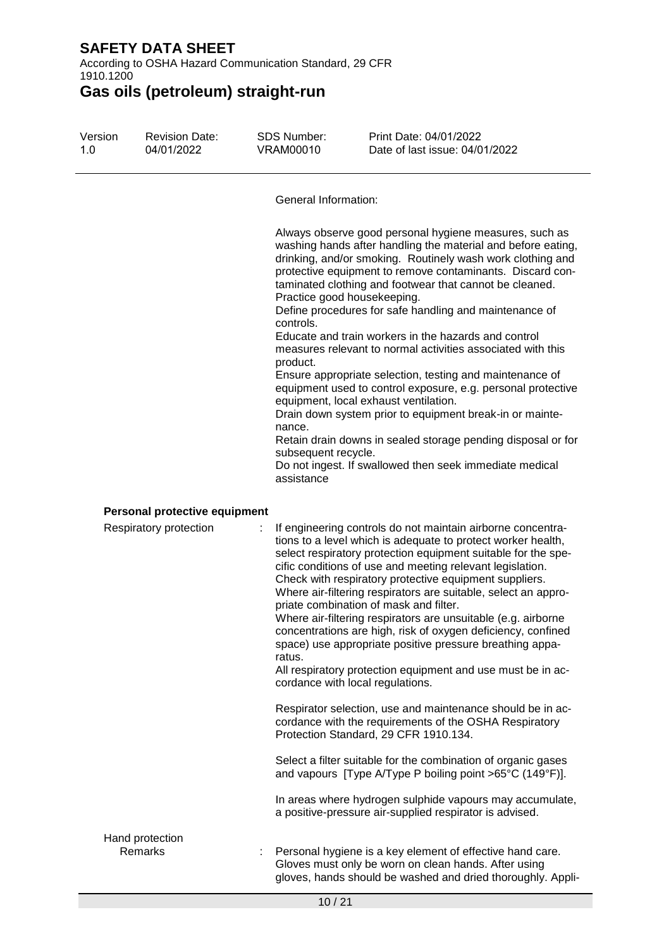According to OSHA Hazard Communication Standard, 29 CFR 1910.1200

**Gas oils (petroleum) straight-run**

| Version<br>1.0 | <b>Revision Date:</b><br>04/01/2022 | <b>SDS Number:</b><br><b>VRAM00010</b>                                                              | Print Date: 04/01/2022<br>Date of last issue: 04/01/2022                                                                                                                                                                                                                                                                                                                                                                                                                                                                                                                                                                                                                                                                                                                                                                                                  |
|----------------|-------------------------------------|-----------------------------------------------------------------------------------------------------|-----------------------------------------------------------------------------------------------------------------------------------------------------------------------------------------------------------------------------------------------------------------------------------------------------------------------------------------------------------------------------------------------------------------------------------------------------------------------------------------------------------------------------------------------------------------------------------------------------------------------------------------------------------------------------------------------------------------------------------------------------------------------------------------------------------------------------------------------------------|
|                |                                     | <b>General Information:</b>                                                                         |                                                                                                                                                                                                                                                                                                                                                                                                                                                                                                                                                                                                                                                                                                                                                                                                                                                           |
|                |                                     | Practice good housekeeping.<br>controls.<br>product.<br>nance.<br>subsequent recycle.<br>assistance | Always observe good personal hygiene measures, such as<br>washing hands after handling the material and before eating,<br>drinking, and/or smoking. Routinely wash work clothing and<br>protective equipment to remove contaminants. Discard con-<br>taminated clothing and footwear that cannot be cleaned.<br>Define procedures for safe handling and maintenance of<br>Educate and train workers in the hazards and control<br>measures relevant to normal activities associated with this<br>Ensure appropriate selection, testing and maintenance of<br>equipment used to control exposure, e.g. personal protective<br>equipment, local exhaust ventilation.<br>Drain down system prior to equipment break-in or mainte-<br>Retain drain downs in sealed storage pending disposal or for<br>Do not ingest. If swallowed then seek immediate medical |
|                | Personal protective equipment       |                                                                                                     |                                                                                                                                                                                                                                                                                                                                                                                                                                                                                                                                                                                                                                                                                                                                                                                                                                                           |
|                | Respiratory protection              | t<br>ratus.                                                                                         | If engineering controls do not maintain airborne concentra-<br>tions to a level which is adequate to protect worker health,<br>select respiratory protection equipment suitable for the spe-<br>cific conditions of use and meeting relevant legislation.<br>Check with respiratory protective equipment suppliers.<br>Where air-filtering respirators are suitable, select an appro-<br>priate combination of mask and filter.<br>Where air-filtering respirators are unsuitable (e.g. airborne<br>concentrations are high, risk of oxygen deficiency, confined<br>space) use appropriate positive pressure breathing appa-<br>All respiratory protection equipment and use must be in ac-<br>cordance with local regulations.                                                                                                                           |
|                |                                     |                                                                                                     | Respirator selection, use and maintenance should be in ac-<br>cordance with the requirements of the OSHA Respiratory<br>Protection Standard, 29 CFR 1910.134.                                                                                                                                                                                                                                                                                                                                                                                                                                                                                                                                                                                                                                                                                             |
|                |                                     |                                                                                                     | Select a filter suitable for the combination of organic gases<br>and vapours [Type A/Type P boiling point >65°C (149°F)].                                                                                                                                                                                                                                                                                                                                                                                                                                                                                                                                                                                                                                                                                                                                 |
|                |                                     |                                                                                                     | In areas where hydrogen sulphide vapours may accumulate,<br>a positive-pressure air-supplied respirator is advised.                                                                                                                                                                                                                                                                                                                                                                                                                                                                                                                                                                                                                                                                                                                                       |
|                |                                     |                                                                                                     |                                                                                                                                                                                                                                                                                                                                                                                                                                                                                                                                                                                                                                                                                                                                                                                                                                                           |

# Hand protection<br>Remarks

: Personal hygiene is a key element of effective hand care. Gloves must only be worn on clean hands. After using gloves, hands should be washed and dried thoroughly. Appli-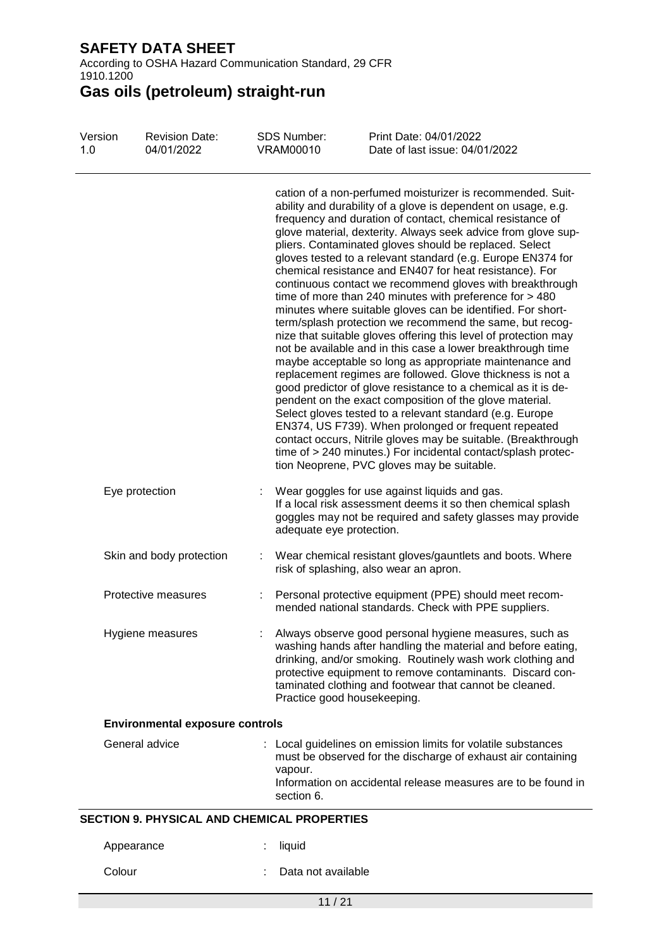According to OSHA Hazard Communication Standard, 29 CFR 1910.1200

| Version<br>1.0 | <b>Revision Date:</b><br>04/01/2022                | <b>SDS Number:</b><br><b>VRAM00010</b> | Print Date: 04/01/2022<br>Date of last issue: 04/01/2022                                                                                                                                                                                                                                                                                                                                                                                                                                                                                                                                                                                                                                                                                                                                                                                                                                                                                                                                                                                                                                                                                                                                                                                                                                                                                                                                     |
|----------------|----------------------------------------------------|----------------------------------------|----------------------------------------------------------------------------------------------------------------------------------------------------------------------------------------------------------------------------------------------------------------------------------------------------------------------------------------------------------------------------------------------------------------------------------------------------------------------------------------------------------------------------------------------------------------------------------------------------------------------------------------------------------------------------------------------------------------------------------------------------------------------------------------------------------------------------------------------------------------------------------------------------------------------------------------------------------------------------------------------------------------------------------------------------------------------------------------------------------------------------------------------------------------------------------------------------------------------------------------------------------------------------------------------------------------------------------------------------------------------------------------------|
|                |                                                    |                                        | cation of a non-perfumed moisturizer is recommended. Suit-<br>ability and durability of a glove is dependent on usage, e.g.<br>frequency and duration of contact, chemical resistance of<br>glove material, dexterity. Always seek advice from glove sup-<br>pliers. Contaminated gloves should be replaced. Select<br>gloves tested to a relevant standard (e.g. Europe EN374 for<br>chemical resistance and EN407 for heat resistance). For<br>continuous contact we recommend gloves with breakthrough<br>time of more than 240 minutes with preference for $>$ 480<br>minutes where suitable gloves can be identified. For short-<br>term/splash protection we recommend the same, but recog-<br>nize that suitable gloves offering this level of protection may<br>not be available and in this case a lower breakthrough time<br>maybe acceptable so long as appropriate maintenance and<br>replacement regimes are followed. Glove thickness is not a<br>good predictor of glove resistance to a chemical as it is de-<br>pendent on the exact composition of the glove material.<br>Select gloves tested to a relevant standard (e.g. Europe<br>EN374, US F739). When prolonged or frequent repeated<br>contact occurs, Nitrile gloves may be suitable. (Breakthrough<br>time of > 240 minutes.) For incidental contact/splash protec-<br>tion Neoprene, PVC gloves may be suitable. |
|                | Eye protection                                     | adequate eye protection.               | : Wear goggles for use against liquids and gas.<br>If a local risk assessment deems it so then chemical splash<br>goggles may not be required and safety glasses may provide                                                                                                                                                                                                                                                                                                                                                                                                                                                                                                                                                                                                                                                                                                                                                                                                                                                                                                                                                                                                                                                                                                                                                                                                                 |
|                | Skin and body protection                           |                                        | Wear chemical resistant gloves/gauntlets and boots. Where<br>risk of splashing, also wear an apron.                                                                                                                                                                                                                                                                                                                                                                                                                                                                                                                                                                                                                                                                                                                                                                                                                                                                                                                                                                                                                                                                                                                                                                                                                                                                                          |
|                | Protective measures                                |                                        | Personal protective equipment (PPE) should meet recom-<br>mended national standards. Check with PPE suppliers.                                                                                                                                                                                                                                                                                                                                                                                                                                                                                                                                                                                                                                                                                                                                                                                                                                                                                                                                                                                                                                                                                                                                                                                                                                                                               |
|                | Hygiene measures                                   | Practice good housekeeping.            | Always observe good personal hygiene measures, such as<br>washing hands after handling the material and before eating,<br>drinking, and/or smoking. Routinely wash work clothing and<br>protective equipment to remove contaminants. Discard con-<br>taminated clothing and footwear that cannot be cleaned.                                                                                                                                                                                                                                                                                                                                                                                                                                                                                                                                                                                                                                                                                                                                                                                                                                                                                                                                                                                                                                                                                 |
|                | <b>Environmental exposure controls</b>             |                                        |                                                                                                                                                                                                                                                                                                                                                                                                                                                                                                                                                                                                                                                                                                                                                                                                                                                                                                                                                                                                                                                                                                                                                                                                                                                                                                                                                                                              |
|                | General advice                                     | vapour.<br>section 6.                  | : Local guidelines on emission limits for volatile substances<br>must be observed for the discharge of exhaust air containing<br>Information on accidental release measures are to be found in                                                                                                                                                                                                                                                                                                                                                                                                                                                                                                                                                                                                                                                                                                                                                                                                                                                                                                                                                                                                                                                                                                                                                                                               |
|                | <b>SECTION 9. PHYSICAL AND CHEMICAL PROPERTIES</b> |                                        |                                                                                                                                                                                                                                                                                                                                                                                                                                                                                                                                                                                                                                                                                                                                                                                                                                                                                                                                                                                                                                                                                                                                                                                                                                                                                                                                                                                              |
|                | Appearance                                         | liquid                                 |                                                                                                                                                                                                                                                                                                                                                                                                                                                                                                                                                                                                                                                                                                                                                                                                                                                                                                                                                                                                                                                                                                                                                                                                                                                                                                                                                                                              |
|                | Colour                                             | Data not available                     |                                                                                                                                                                                                                                                                                                                                                                                                                                                                                                                                                                                                                                                                                                                                                                                                                                                                                                                                                                                                                                                                                                                                                                                                                                                                                                                                                                                              |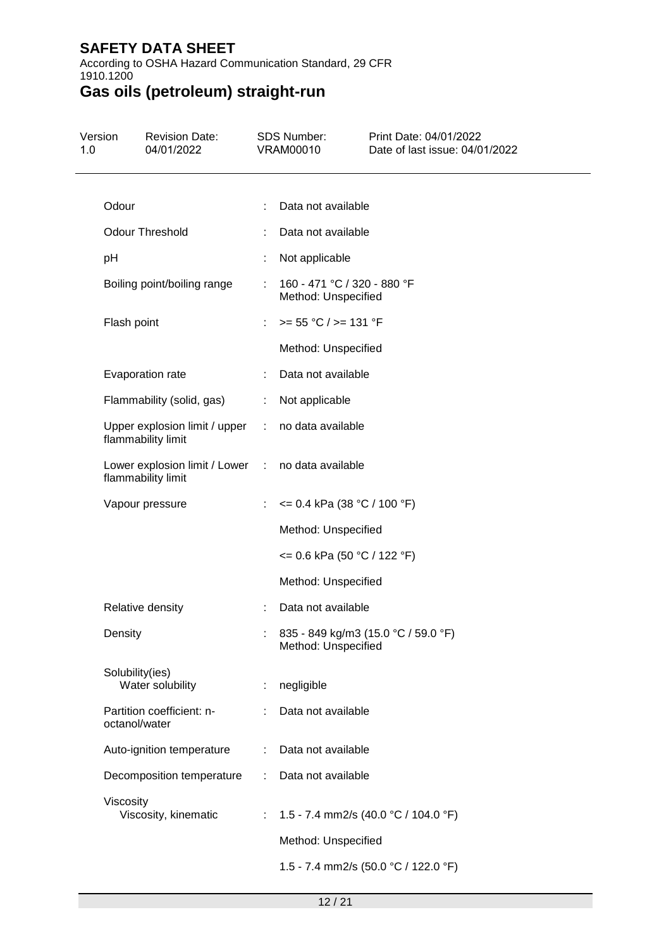According to OSHA Hazard Communication Standard, 29 CFR 1910.1200

| Version<br>1.0 | <b>Revision Date:</b><br>04/01/2022                                     |   | <b>SDS Number:</b><br><b>VRAM00010</b>             | Print Date: 04/01/2022<br>Date of last issue: 04/01/2022 |
|----------------|-------------------------------------------------------------------------|---|----------------------------------------------------|----------------------------------------------------------|
|                |                                                                         |   |                                                    |                                                          |
|                | Odour                                                                   |   | Data not available                                 |                                                          |
|                | <b>Odour Threshold</b>                                                  | ÷ | Data not available                                 |                                                          |
|                | pH                                                                      | ÷ | Not applicable                                     |                                                          |
|                | Boiling point/boiling range                                             |   | 160 - 471 °C / 320 - 880 °F<br>Method: Unspecified |                                                          |
|                | Flash point                                                             |   | $>= 55 °C / >= 131 °F$                             |                                                          |
|                |                                                                         |   | Method: Unspecified                                |                                                          |
|                | Evaporation rate                                                        |   | Data not available                                 |                                                          |
|                | Flammability (solid, gas)                                               | ÷ | Not applicable                                     |                                                          |
|                | Upper explosion limit / upper<br>flammability limit                     |   | : no data available                                |                                                          |
|                | Lower explosion limit / Lower : no data available<br>flammability limit |   |                                                    |                                                          |
|                | Vapour pressure                                                         | ÷ | $\leq$ 0.4 kPa (38 °C / 100 °F)                    |                                                          |
|                |                                                                         |   | Method: Unspecified                                |                                                          |
|                |                                                                         |   | <= 0.6 kPa (50 °C / 122 °F)                        |                                                          |
|                |                                                                         |   | Method: Unspecified                                |                                                          |
|                | Relative density                                                        |   | Data not available                                 |                                                          |
|                | Density                                                                 |   | Method: Unspecified                                | 835 - 849 kg/m3 (15.0 °C / 59.0 °F)                      |
|                | Solubility(ies)<br>Water solubility                                     | ÷ | negligible                                         |                                                          |
|                | Partition coefficient: n-<br>octanol/water                              |   | Data not available                                 |                                                          |
|                | Auto-ignition temperature                                               | ÷ | Data not available                                 |                                                          |
|                | Decomposition temperature                                               | ÷ | Data not available                                 |                                                          |
|                | Viscosity<br>Viscosity, kinematic                                       | ÷ |                                                    | 1.5 - 7.4 mm2/s (40.0 °C / 104.0 °F)                     |
|                |                                                                         |   | Method: Unspecified                                |                                                          |
|                |                                                                         |   |                                                    | 1.5 - 7.4 mm2/s (50.0 °C / 122.0 °F)                     |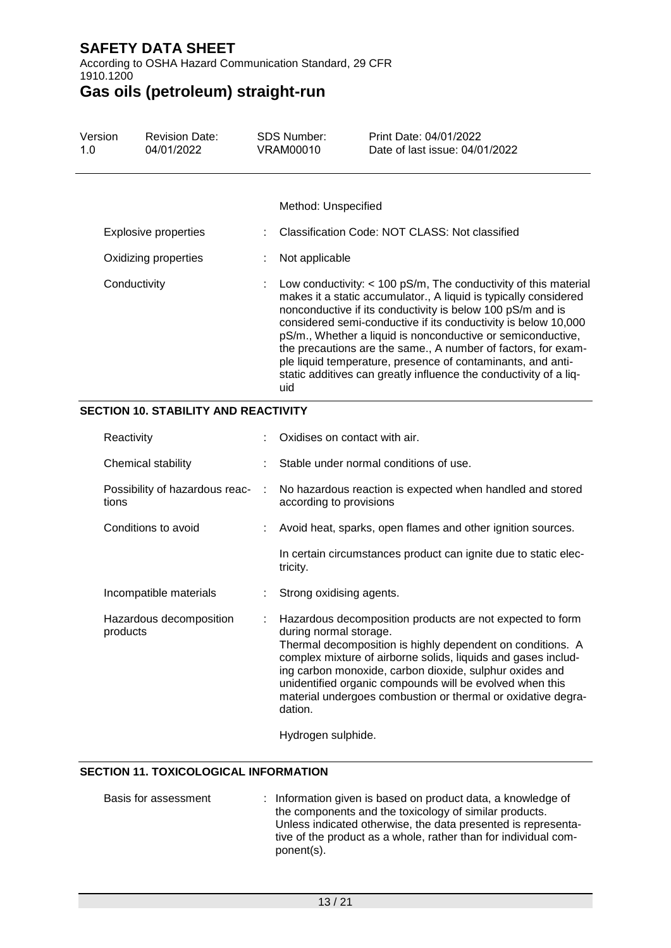According to OSHA Hazard Communication Standard, 29 CFR 1910.1200

# **Gas oils (petroleum) straight-run**

| Version<br>1.0       | <b>Revision Date:</b><br>04/01/2022 | SDS Number:<br>VRAM00010 | Print Date: 04/01/2022<br>Date of last issue: 04/01/2022                                                                                                                                                                                                                                                                                                                                                                                                                                                                                    |
|----------------------|-------------------------------------|--------------------------|---------------------------------------------------------------------------------------------------------------------------------------------------------------------------------------------------------------------------------------------------------------------------------------------------------------------------------------------------------------------------------------------------------------------------------------------------------------------------------------------------------------------------------------------|
|                      |                                     | Method: Unspecified      |                                                                                                                                                                                                                                                                                                                                                                                                                                                                                                                                             |
| Explosive properties |                                     |                          | Classification Code: NOT CLASS: Not classified                                                                                                                                                                                                                                                                                                                                                                                                                                                                                              |
| Oxidizing properties |                                     | Not applicable           |                                                                                                                                                                                                                                                                                                                                                                                                                                                                                                                                             |
| Conductivity         |                                     | uid                      | : Low conductivity: $<$ 100 pS/m, The conductivity of this material<br>makes it a static accumulator., A liquid is typically considered<br>nonconductive if its conductivity is below 100 pS/m and is<br>considered semi-conductive if its conductivity is below 10,000<br>pS/m., Whether a liquid is nonconductive or semiconductive,<br>the precautions are the same., A number of factors, for exam-<br>ple liquid temperature, presence of contaminants, and anti-<br>static additives can greatly influence the conductivity of a liq- |

### **SECTION 10. STABILITY AND REACTIVITY**

| Reactivity                              |           | Oxidises on contact with air.                                                                                                                                                                                                                                                                                                                                                                                        |
|-----------------------------------------|-----------|----------------------------------------------------------------------------------------------------------------------------------------------------------------------------------------------------------------------------------------------------------------------------------------------------------------------------------------------------------------------------------------------------------------------|
| Chemical stability                      |           | Stable under normal conditions of use.                                                                                                                                                                                                                                                                                                                                                                               |
| Possibility of hazardous reac-<br>tions | $\sim$ 1. | No hazardous reaction is expected when handled and stored<br>according to provisions                                                                                                                                                                                                                                                                                                                                 |
| Conditions to avoid                     |           | : Avoid heat, sparks, open flames and other ignition sources.                                                                                                                                                                                                                                                                                                                                                        |
|                                         |           | In certain circumstances product can ignite due to static elec-<br>tricity.                                                                                                                                                                                                                                                                                                                                          |
| Incompatible materials                  |           | : Strong oxidising agents.                                                                                                                                                                                                                                                                                                                                                                                           |
| Hazardous decomposition<br>products     |           | Hazardous decomposition products are not expected to form<br>during normal storage.<br>Thermal decomposition is highly dependent on conditions. A<br>complex mixture of airborne solids, liquids and gases includ-<br>ing carbon monoxide, carbon dioxide, sulphur oxides and<br>unidentified organic compounds will be evolved when this<br>material undergoes combustion or thermal or oxidative degra-<br>dation. |
|                                         |           | Hydrogen sulphide.                                                                                                                                                                                                                                                                                                                                                                                                   |

### **SECTION 11. TOXICOLOGICAL INFORMATION**

| Basis for assessment | : Information given is based on product data, a knowledge of    |
|----------------------|-----------------------------------------------------------------|
|                      | the components and the toxicology of similar products.          |
|                      | Unless indicated otherwise, the data presented is representa-   |
|                      | tive of the product as a whole, rather than for individual com- |
|                      | ponent(s).                                                      |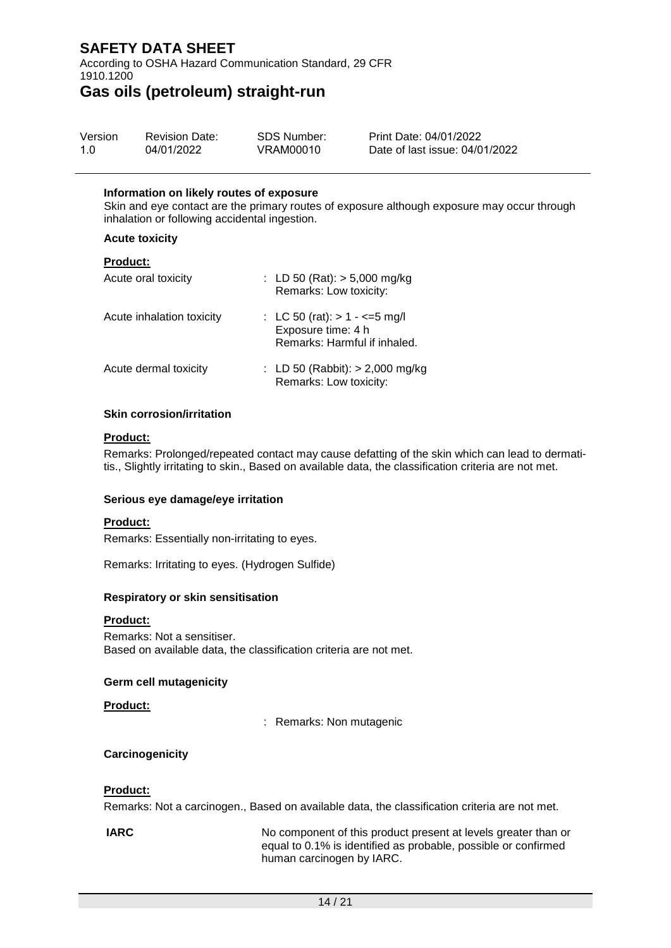According to OSHA Hazard Communication Standard, 29 CFR 1910.1200

### **Gas oils (petroleum) straight-run**

| Version | <b>Revision Date:</b> | SDS Number: | Print Date: 04/01/2022         |
|---------|-----------------------|-------------|--------------------------------|
| 1.0     | 04/01/2022            | VRAM00010   | Date of last issue: 04/01/2022 |

#### **Information on likely routes of exposure**

Skin and eye contact are the primary routes of exposure although exposure may occur through inhalation or following accidental ingestion.

#### **Acute toxicity**

#### **Product:**

| Acute oral toxicity       | : LD 50 (Rat): $>$ 5,000 mg/kg<br>Remarks: Low toxicity:                                |
|---------------------------|-----------------------------------------------------------------------------------------|
| Acute inhalation toxicity | : LC 50 (rat): $> 1 - \le 5$ mg/l<br>Exposure time: 4 h<br>Remarks: Harmful if inhaled. |
| Acute dermal toxicity     | : LD 50 (Rabbit): $> 2,000$ mg/kg<br>Remarks: Low toxicity:                             |

#### **Skin corrosion/irritation**

#### **Product:**

Remarks: Prolonged/repeated contact may cause defatting of the skin which can lead to dermatitis., Slightly irritating to skin., Based on available data, the classification criteria are not met.

#### **Serious eye damage/eye irritation**

#### **Product:**

Remarks: Essentially non-irritating to eyes.

Remarks: Irritating to eyes. (Hydrogen Sulfide)

#### **Respiratory or skin sensitisation**

#### **Product:**

Remarks: Not a sensitiser. Based on available data, the classification criteria are not met.

#### **Germ cell mutagenicity**

**Product:**

: Remarks: Non mutagenic

#### **Carcinogenicity**

#### **Product:**

Remarks: Not a carcinogen., Based on available data, the classification criteria are not met.

**IARC** No component of this product present at levels greater than or equal to 0.1% is identified as probable, possible or confirmed human carcinogen by IARC.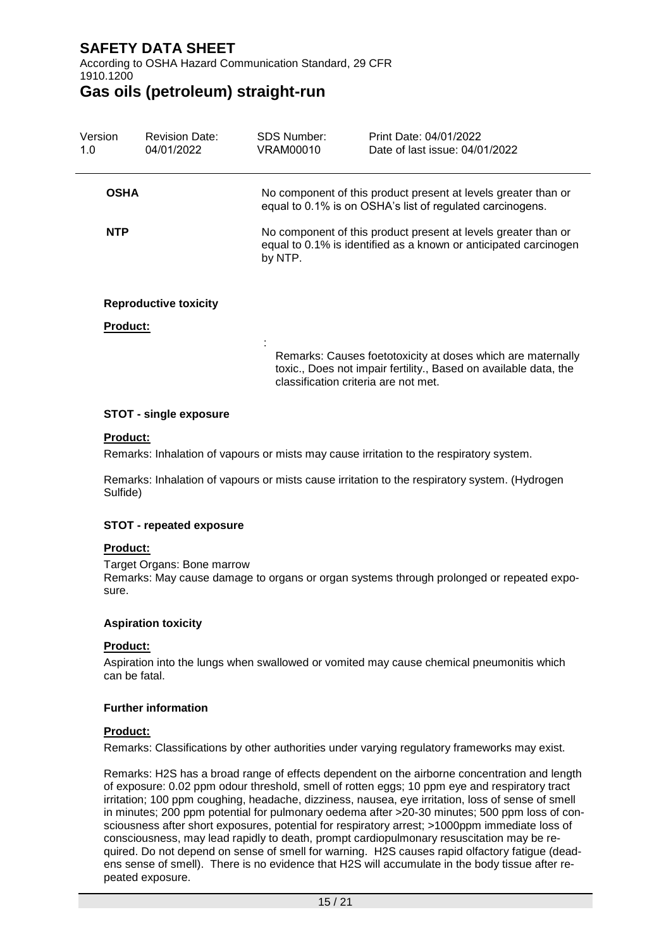According to OSHA Hazard Communication Standard, 29 CFR 1910.1200

### **Gas oils (petroleum) straight-run**

| Version<br>1.0  | <b>Revision Date:</b><br>04/01/2022 | SDS Number:<br>VRAM00010 | Print Date: 04/01/2022<br>Date of last issue: 04/01/2022                                                                           |  |  |  |  |
|-----------------|-------------------------------------|--------------------------|------------------------------------------------------------------------------------------------------------------------------------|--|--|--|--|
| <b>OSHA</b>     |                                     |                          | No component of this product present at levels greater than or<br>equal to 0.1% is on OSHA's list of regulated carcinogens.        |  |  |  |  |
| <b>NTP</b>      |                                     | by NTP.                  | No component of this product present at levels greater than or<br>equal to 0.1% is identified as a known or anticipated carcinogen |  |  |  |  |
|                 | <b>Reproductive toxicity</b>        |                          |                                                                                                                                    |  |  |  |  |
| <b>Product:</b> |                                     |                          |                                                                                                                                    |  |  |  |  |
|                 |                                     |                          | Remarks: Causes foetotoxicity at doses which are maternally                                                                        |  |  |  |  |

**STOT - single exposure**

#### **Product:**

Remarks: Inhalation of vapours or mists may cause irritation to the respiratory system.

Remarks: Inhalation of vapours or mists cause irritation to the respiratory system. (Hydrogen Sulfide)

classification criteria are not met.

toxic., Does not impair fertility., Based on available data, the

#### **STOT - repeated exposure**

#### **Product:**

Target Organs: Bone marrow Remarks: May cause damage to organs or organ systems through prolonged or repeated exposure.

#### **Aspiration toxicity**

#### **Product:**

Aspiration into the lungs when swallowed or vomited may cause chemical pneumonitis which can be fatal.

#### **Further information**

#### **Product:**

Remarks: Classifications by other authorities under varying regulatory frameworks may exist.

Remarks: H2S has a broad range of effects dependent on the airborne concentration and length of exposure: 0.02 ppm odour threshold, smell of rotten eggs; 10 ppm eye and respiratory tract irritation; 100 ppm coughing, headache, dizziness, nausea, eye irritation, loss of sense of smell in minutes; 200 ppm potential for pulmonary oedema after >20-30 minutes; 500 ppm loss of consciousness after short exposures, potential for respiratory arrest; >1000ppm immediate loss of consciousness, may lead rapidly to death, prompt cardiopulmonary resuscitation may be required. Do not depend on sense of smell for warning. H2S causes rapid olfactory fatigue (deadens sense of smell). There is no evidence that H2S will accumulate in the body tissue after repeated exposure.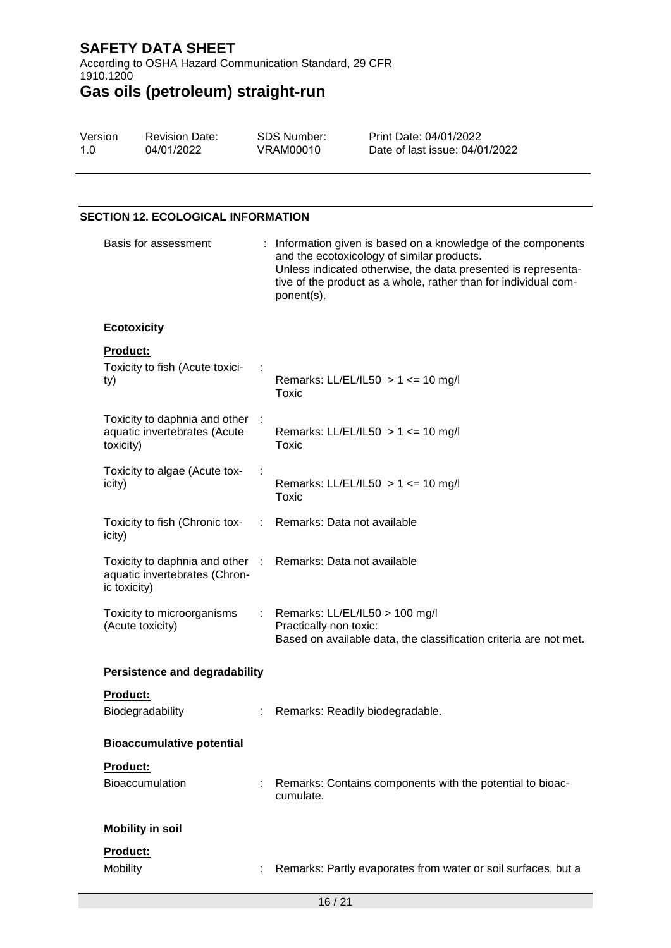According to OSHA Hazard Communication Standard, 29 CFR 1910.1200

# **Gas oils (petroleum) straight-run**

| Version | <b>Revision Date:</b> | SDS Number: | Print Date: 04/01/2022         |
|---------|-----------------------|-------------|--------------------------------|
| 1.0     | 04/01/2022            | VRAM00010   | Date of last issue: 04/01/2022 |

### **SECTION 12. ECOLOGICAL INFORMATION**

| Basis for assessment                                                             |      | : Information given is based on a knowledge of the components<br>and the ecotoxicology of similar products.<br>Unless indicated otherwise, the data presented is representa-<br>tive of the product as a whole, rather than for individual com-<br>ponent(s). |  |  |  |
|----------------------------------------------------------------------------------|------|---------------------------------------------------------------------------------------------------------------------------------------------------------------------------------------------------------------------------------------------------------------|--|--|--|
| <b>Ecotoxicity</b>                                                               |      |                                                                                                                                                                                                                                                               |  |  |  |
| <b>Product:</b><br>Toxicity to fish (Acute toxici-<br>ty)                        |      | Remarks: LL/EL/IL50 $> 1$ <= 10 mg/l<br>Toxic                                                                                                                                                                                                                 |  |  |  |
| Toxicity to daphnia and other :<br>aquatic invertebrates (Acute<br>toxicity)     |      | Remarks: LL/EL/IL50 $> 1$ <= 10 mg/l<br>Toxic                                                                                                                                                                                                                 |  |  |  |
| Toxicity to algae (Acute tox-<br>icity)                                          |      | Remarks: LL/EL/IL50 $> 1$ <= 10 mg/l<br>Toxic                                                                                                                                                                                                                 |  |  |  |
| Toxicity to fish (Chronic tox-<br>icity)                                         | di l | Remarks: Data not available                                                                                                                                                                                                                                   |  |  |  |
| Toxicity to daphnia and other :<br>aquatic invertebrates (Chron-<br>ic toxicity) |      | Remarks: Data not available                                                                                                                                                                                                                                   |  |  |  |
| Toxicity to microorganisms<br>(Acute toxicity)                                   |      | Remarks: LL/EL/IL50 > 100 mg/l<br>Practically non toxic:<br>Based on available data, the classification criteria are not met.                                                                                                                                 |  |  |  |
| <b>Persistence and degradability</b>                                             |      |                                                                                                                                                                                                                                                               |  |  |  |
| Product:<br>Biodegradability                                                     |      | Remarks: Readily biodegradable.                                                                                                                                                                                                                               |  |  |  |
| <b>Bioaccumulative potential</b>                                                 |      |                                                                                                                                                                                                                                                               |  |  |  |
| Product:<br><b>Bioaccumulation</b>                                               |      | Remarks: Contains components with the potential to bioac-<br>cumulate.                                                                                                                                                                                        |  |  |  |
| <b>Mobility in soil</b>                                                          |      |                                                                                                                                                                                                                                                               |  |  |  |
| Product:<br>Mobility                                                             |      | Remarks: Partly evaporates from water or soil surfaces, but a                                                                                                                                                                                                 |  |  |  |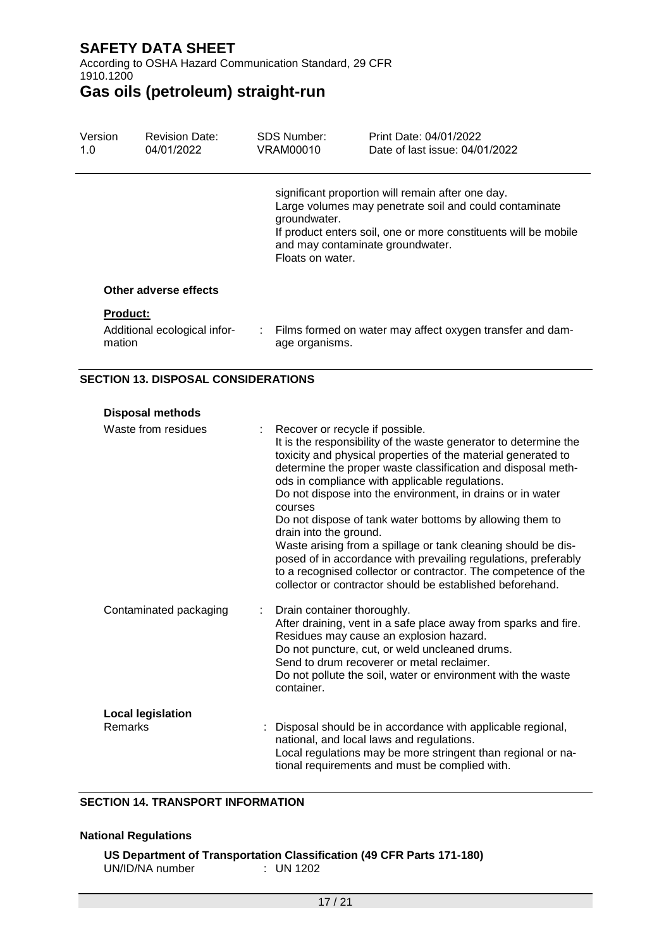According to OSHA Hazard Communication Standard, 29 CFR 1910.1200

# **Gas oils (petroleum) straight-run**

| Version<br>1.0 |                 | <b>Revision Date:</b><br>04/01/2022 | SDS Number:<br>VRAM00010                                             | Print Date: 04/01/2022<br>Date of last issue: 04/01/2022                                                                                                                       |
|----------------|-----------------|-------------------------------------|----------------------------------------------------------------------|--------------------------------------------------------------------------------------------------------------------------------------------------------------------------------|
|                |                 |                                     | groundwater.<br>and may contaminate groundwater.<br>Floats on water. | significant proportion will remain after one day.<br>Large volumes may penetrate soil and could contaminate<br>If product enters soil, one or more constituents will be mobile |
|                |                 | Other adverse effects               |                                                                      |                                                                                                                                                                                |
|                | <b>Product:</b> |                                     |                                                                      |                                                                                                                                                                                |
|                | mation          | Additional ecological infor-        | age organisms.                                                       | : Films formed on water may affect oxygen transfer and dam-                                                                                                                    |

#### **SECTION 13. DISPOSAL CONSIDERATIONS**

#### **Disposal methods**

| Waste from residues      | Recover or recycle if possible.<br>It is the responsibility of the waste generator to determine the<br>toxicity and physical properties of the material generated to<br>determine the proper waste classification and disposal meth-<br>ods in compliance with applicable regulations.<br>Do not dispose into the environment, in drains or in water<br>courses<br>Do not dispose of tank water bottoms by allowing them to<br>drain into the ground.<br>Waste arising from a spillage or tank cleaning should be dis-<br>posed of in accordance with prevailing regulations, preferably<br>to a recognised collector or contractor. The competence of the<br>collector or contractor should be established beforehand. |
|--------------------------|-------------------------------------------------------------------------------------------------------------------------------------------------------------------------------------------------------------------------------------------------------------------------------------------------------------------------------------------------------------------------------------------------------------------------------------------------------------------------------------------------------------------------------------------------------------------------------------------------------------------------------------------------------------------------------------------------------------------------|
| Contaminated packaging   | Drain container thoroughly.<br>After draining, vent in a safe place away from sparks and fire.<br>Residues may cause an explosion hazard.<br>Do not puncture, cut, or weld uncleaned drums.<br>Send to drum recoverer or metal reclaimer.<br>Do not pollute the soil, water or environment with the waste<br>container.                                                                                                                                                                                                                                                                                                                                                                                                 |
| <b>Local legislation</b> |                                                                                                                                                                                                                                                                                                                                                                                                                                                                                                                                                                                                                                                                                                                         |
| Remarks                  | Disposal should be in accordance with applicable regional,<br>national, and local laws and regulations.<br>Local regulations may be more stringent than regional or na-<br>tional requirements and must be complied with.                                                                                                                                                                                                                                                                                                                                                                                                                                                                                               |

#### **SECTION 14. TRANSPORT INFORMATION**

#### **National Regulations**

|                 | US Department of Transportation Classification (49 CFR Parts 171-180) |
|-----------------|-----------------------------------------------------------------------|
| UN/ID/NA number | $\therefore$ UN 1202                                                  |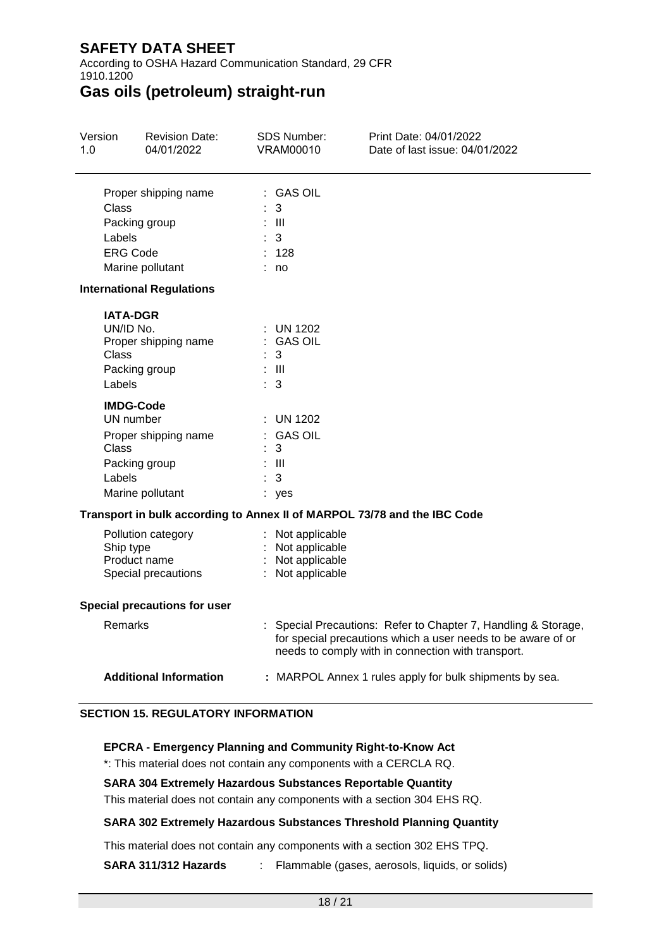According to OSHA Hazard Communication Standard, 29 CFR 1910.1200

## **Gas oils (petroleum) straight-run**

| Version<br>1.0  | <b>Revision Date:</b><br>04/01/2022                                                                              | <b>SDS Number:</b><br><b>VRAM00010</b>                                     | Print Date: 04/01/2022<br>Date of last issue: 04/01/2022                                                                                                                             |
|-----------------|------------------------------------------------------------------------------------------------------------------|----------------------------------------------------------------------------|--------------------------------------------------------------------------------------------------------------------------------------------------------------------------------------|
| Class<br>Labels | Proper shipping name<br>Packing group<br><b>ERG Code</b><br>Marine pollutant<br><b>International Regulations</b> | : GAS OIL<br>3<br>- 111<br>3<br>128<br>: no                                |                                                                                                                                                                                      |
| Class<br>Labels | <b>IATA-DGR</b><br>UN/ID No.<br>Proper shipping name<br>Packing group                                            | <b>UN 1202</b><br><b>GAS OIL</b><br>3<br>$\pm$ III<br>÷.<br>3              |                                                                                                                                                                                      |
| Class<br>Labels | <b>IMDG-Code</b><br>UN number<br>Proper shipping name<br>Packing group<br>Marine pollutant                       | <b>UN 1202</b><br><b>GAS OIL</b><br>3<br>: III<br>3<br>: yes               |                                                                                                                                                                                      |
|                 |                                                                                                                  |                                                                            | Transport in bulk according to Annex II of MARPOL 73/78 and the IBC Code                                                                                                             |
|                 | Pollution category<br>Ship type<br>Product name<br>Special precautions                                           | : Not applicable<br>: Not applicable<br>Not applicable<br>: Not applicable |                                                                                                                                                                                      |
|                 | <b>Special precautions for user</b>                                                                              |                                                                            |                                                                                                                                                                                      |
|                 | Remarks                                                                                                          |                                                                            | : Special Precautions: Refer to Chapter 7, Handling & Storage,<br>for special precautions which a user needs to be aware of or<br>needs to comply with in connection with transport. |
|                 | <b>Additional Information</b>                                                                                    |                                                                            | : MARPOL Annex 1 rules apply for bulk shipments by sea.                                                                                                                              |

#### **SECTION 15. REGULATORY INFORMATION**

#### **EPCRA - Emergency Planning and Community Right-to-Know Act**

\*: This material does not contain any components with a CERCLA RQ.

#### **SARA 304 Extremely Hazardous Substances Reportable Quantity**

This material does not contain any components with a section 304 EHS RQ.

#### **SARA 302 Extremely Hazardous Substances Threshold Planning Quantity**

This material does not contain any components with a section 302 EHS TPQ.

**SARA 311/312 Hazards** : Flammable (gases, aerosols, liquids, or solids)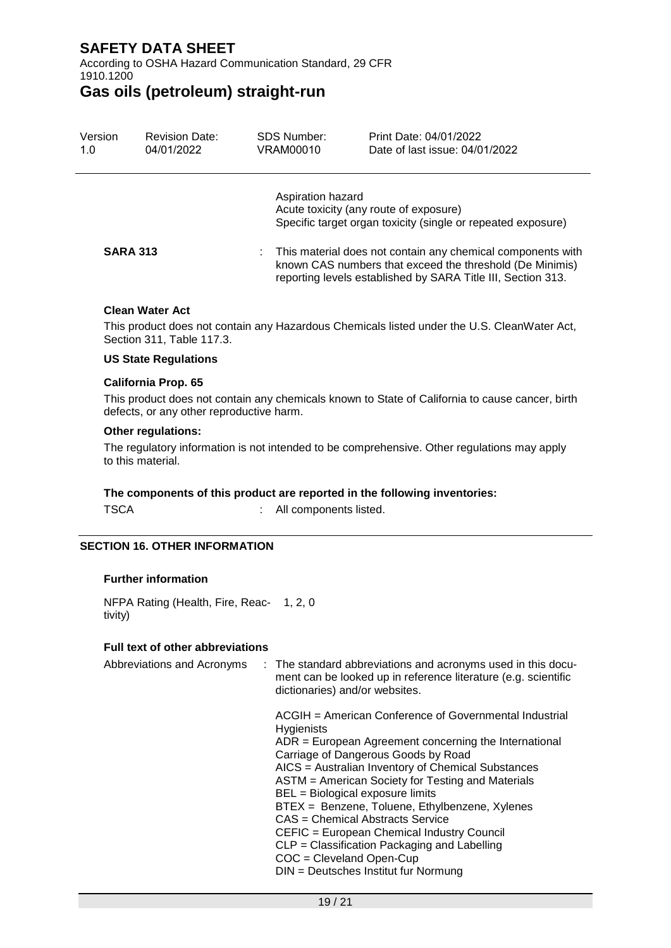According to OSHA Hazard Communication Standard, 29 CFR 1910.1200

### **Gas oils (petroleum) straight-run**

| Version<br>1.0  | <b>Revision Date:</b><br>04/01/2022 | <b>SDS Number:</b><br>VRAM00010 | Print Date: 04/01/2022<br>Date of last issue: 04/01/2022                                                                                                                                |  |
|-----------------|-------------------------------------|---------------------------------|-----------------------------------------------------------------------------------------------------------------------------------------------------------------------------------------|--|
|                 |                                     | Aspiration hazard               | Acute toxicity (any route of exposure)<br>Specific target organ toxicity (single or repeated exposure)                                                                                  |  |
| <b>SARA 313</b> |                                     |                                 | This material does not contain any chemical components with<br>known CAS numbers that exceed the threshold (De Minimis)<br>reporting levels established by SARA Title III, Section 313. |  |

#### **Clean Water Act**

This product does not contain any Hazardous Chemicals listed under the U.S. CleanWater Act, Section 311, Table 117.3.

#### **US State Regulations**

#### **California Prop. 65**

This product does not contain any chemicals known to State of California to cause cancer, birth defects, or any other reproductive harm.

#### **Other regulations:**

The regulatory information is not intended to be comprehensive. Other regulations may apply to this material.

#### **The components of this product are reported in the following inventories:**

TSCA : All components listed.

#### **SECTION 16. OTHER INFORMATION**

#### **Further information**

NFPA Rating (Health, Fire, Reac-1, 2, 0 tivity)

#### **Full text of other abbreviations**

| Abbreviations and Acronyms | : The standard abbreviations and acronyms used in this docu-<br>ment can be looked up in reference literature (e.g. scientific<br>dictionaries) and/or websites.                                                                                                                                                                                                                                                                                                                                                                                                                         |
|----------------------------|------------------------------------------------------------------------------------------------------------------------------------------------------------------------------------------------------------------------------------------------------------------------------------------------------------------------------------------------------------------------------------------------------------------------------------------------------------------------------------------------------------------------------------------------------------------------------------------|
|                            | ACGIH = American Conference of Governmental Industrial<br><b>Hygienists</b><br>$ADR = European Agreement concerning the International$<br>Carriage of Dangerous Goods by Road<br>AICS = Australian Inventory of Chemical Substances<br>ASTM = American Society for Testing and Materials<br>BEL = Biological exposure limits<br>BTEX = Benzene, Toluene, Ethylbenzene, Xylenes<br>CAS = Chemical Abstracts Service<br>CEFIC = European Chemical Industry Council<br>$CLP = Classification$ Packaging and Labelling<br>$COC = Cleveland Open-Cup$<br>DIN = Deutsches Institut fur Normung |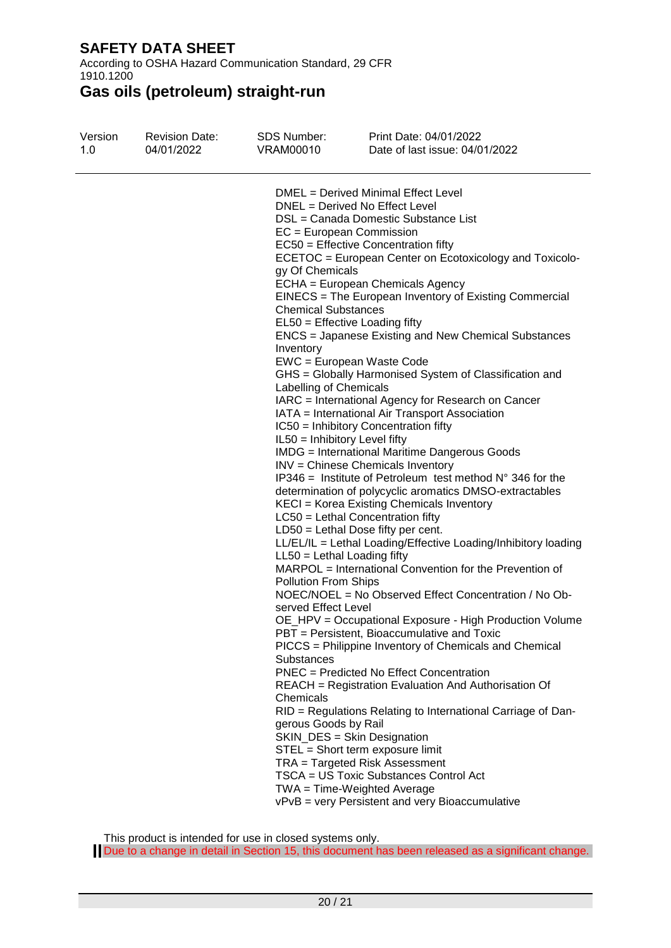According to OSHA Hazard Communication Standard, 29 CFR 1910.1200

**Gas oils (petroleum) straight-run**

| Version | <b>Revision Date:</b> | <b>SDS Number:</b>                                                                                                                                                                                                                                                                            | Print Date: 04/01/2022                                                                                                                                                                                                                                                                                                                                                                                                                                                                                                                                                                                                                                                                                                                                                                                                                                                                                                                                                                                                                                                                                                                                                                                                                                                                                                                                                                                                                                                                                                                                                                                                                                                                                                                                                        |
|---------|-----------------------|-----------------------------------------------------------------------------------------------------------------------------------------------------------------------------------------------------------------------------------------------------------------------------------------------|-------------------------------------------------------------------------------------------------------------------------------------------------------------------------------------------------------------------------------------------------------------------------------------------------------------------------------------------------------------------------------------------------------------------------------------------------------------------------------------------------------------------------------------------------------------------------------------------------------------------------------------------------------------------------------------------------------------------------------------------------------------------------------------------------------------------------------------------------------------------------------------------------------------------------------------------------------------------------------------------------------------------------------------------------------------------------------------------------------------------------------------------------------------------------------------------------------------------------------------------------------------------------------------------------------------------------------------------------------------------------------------------------------------------------------------------------------------------------------------------------------------------------------------------------------------------------------------------------------------------------------------------------------------------------------------------------------------------------------------------------------------------------------|
| 1.0     | 04/01/2022            | VRAM00010                                                                                                                                                                                                                                                                                     | Date of last issue: 04/01/2022                                                                                                                                                                                                                                                                                                                                                                                                                                                                                                                                                                                                                                                                                                                                                                                                                                                                                                                                                                                                                                                                                                                                                                                                                                                                                                                                                                                                                                                                                                                                                                                                                                                                                                                                                |
|         |                       | $EC = European Commission$<br>gy Of Chemicals<br><b>Chemical Substances</b><br>Inventory<br>Labelling of Chemicals<br>IL50 = Inhibitory Level fifty<br>$LL50 = Lethal$ Loading fifty<br><b>Pollution From Ships</b><br>served Effect Level<br>Substances<br>Chemicals<br>gerous Goods by Rail | DMEL = Derived Minimal Effect Level<br>DNEL = Derived No Effect Level<br>DSL = Canada Domestic Substance List<br>EC50 = Effective Concentration fifty<br>ECETOC = European Center on Ecotoxicology and Toxicolo-<br>ECHA = European Chemicals Agency<br>EINECS = The European Inventory of Existing Commercial<br>EL50 = Effective Loading fifty<br>ENCS = Japanese Existing and New Chemical Substances<br>EWC = European Waste Code<br>GHS = Globally Harmonised System of Classification and<br>IARC = International Agency for Research on Cancer<br>IATA = International Air Transport Association<br>IC50 = Inhibitory Concentration fifty<br><b>IMDG</b> = International Maritime Dangerous Goods<br>INV = Chinese Chemicals Inventory<br>$IP346$ = Institute of Petroleum test method $N^{\circ}$ 346 for the<br>determination of polycyclic aromatics DMSO-extractables<br>KECI = Korea Existing Chemicals Inventory<br>$LC50$ = Lethal Concentration fifty<br>$LD50 = Lethal Does fifty per cent.$<br>LL/EL/IL = Lethal Loading/Effective Loading/Inhibitory loading<br>MARPOL = International Convention for the Prevention of<br>NOEC/NOEL = No Observed Effect Concentration / No Ob-<br>OE_HPV = Occupational Exposure - High Production Volume<br>PBT = Persistent. Bioaccumulative and Toxic<br>PICCS = Philippine Inventory of Chemicals and Chemical<br>PNEC = Predicted No Effect Concentration<br>REACH = Registration Evaluation And Authorisation Of<br>RID = Regulations Relating to International Carriage of Dan-<br>SKIN_DES = Skin Designation<br>STEL = Short term exposure limit<br>TRA = Targeted Risk Assessment<br>TSCA = US Toxic Substances Control Act<br>$TWA = Time-Weighted Average$<br>vPvB = very Persistent and very Bioaccumulative |

This product is intended for use in closed systems only.

Due to a change in detail in Section 15, this document has been released as a significant change.